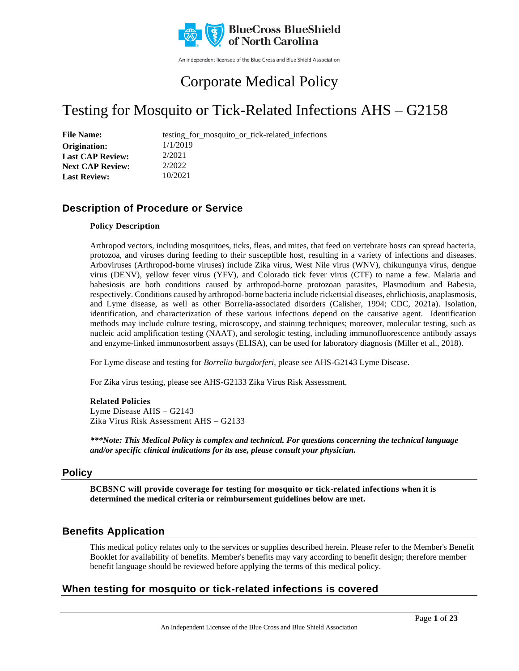

An independent licensee of the Blue Cross and Blue Shield Association

## Corporate Medical Policy

## Testing for Mosquito or Tick-Related Infections AHS – G2158

| <b>File Name:</b>       | testing for mosquito or tick-related infections |
|-------------------------|-------------------------------------------------|
| Origination:            | 1/1/2019                                        |
| <b>Last CAP Review:</b> | 2/2021                                          |
| <b>Next CAP Review:</b> | 2/2022                                          |
| <b>Last Review:</b>     | 10/2021                                         |

### **Description of Procedure or Service**

### **Policy Description**

Arthropod vectors, including mosquitoes, ticks, fleas, and mites, that feed on vertebrate hosts can spread bacteria, protozoa, and viruses during feeding to their susceptible host, resulting in a variety of infections and diseases. Arboviruses (Arthropod-borne viruses) include Zika virus, West Nile virus (WNV), chikungunya virus, dengue virus (DENV), yellow fever virus (YFV), and Colorado tick fever virus (CTF) to name a few. Malaria and babesiosis are both conditions caused by arthropod-borne protozoan parasites, Plasmodium and Babesia, respectively. Conditions caused by arthropod-borne bacteria include rickettsial diseases, ehrlichiosis, anaplasmosis, and Lyme disease, as well as other Borrelia-associated disorders (Calisher, 1994; CDC, 2021a). Isolation, identification, and characterization of these various infections depend on the causative agent. Identification methods may include culture testing, microscopy, and staining techniques; moreover, molecular testing, such as nucleic acid amplification testing (NAAT), and serologic testing, including immunofluorescence antibody assays and enzyme-linked immunosorbent assays (ELISA), can be used for laboratory diagnosis (Miller et al., 2018).

For Lyme disease and testing for *Borrelia burgdorferi*, please see AHS-G2143 Lyme Disease.

For Zika virus testing, please see AHS-G2133 Zika Virus Risk Assessment.

### **Related Policies**

Lyme Disease AHS – G2143 Zika Virus Risk Assessment AHS – G2133

*\*\*\*Note: This Medical Policy is complex and technical. For questions concerning the technical language and/or specific clinical indications for its use, please consult your physician.*

### **Policy**

**BCBSNC will provide coverage for testing for mosquito or tick-related infections when it is determined the medical criteria or reimbursement guidelines below are met.**

### **Benefits Application**

This medical policy relates only to the services or supplies described herein. Please refer to the Member's Benefit Booklet for availability of benefits. Member's benefits may vary according to benefit design; therefore member benefit language should be reviewed before applying the terms of this medical policy.

### **When testing for mosquito or tick-related infections is covered**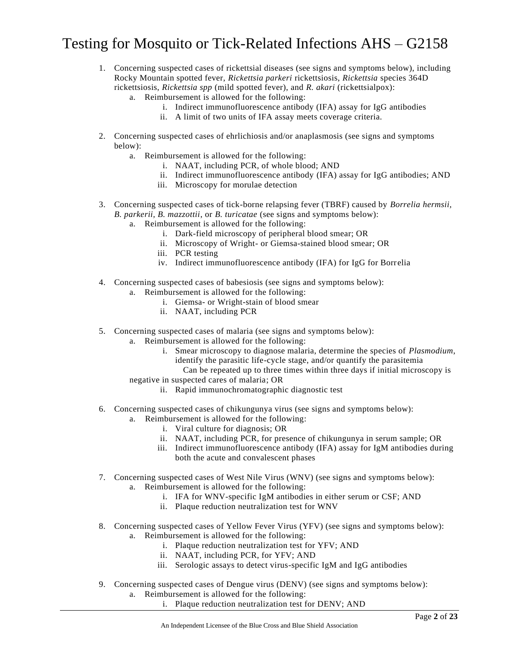- 1. Concerning suspected cases of rickettsial diseases (see signs and symptoms below), including Rocky Mountain spotted fever, *Rickettsia parkeri* rickettsiosis, *Rickettsia* species 364D rickettsiosis, *Rickettsia spp* (mild spotted fever), and *R. akari* (rickettsialpox):
	- a. Reimbursement is allowed for the following:
		- i. Indirect immunofluorescence antibody (IFA) assay for IgG antibodies
		- ii. A limit of two units of IFA assay meets coverage criteria.
- 2. Concerning suspected cases of ehrlichiosis and/or anaplasmosis (see signs and symptoms below):
	- a. Reimbursement is allowed for the following:
		- i. NAAT, including PCR, of whole blood; AND
		- ii. Indirect immunofluorescence antibody (IFA) assay for IgG antibodies; AND
		- iii. Microscopy for morulae detection
- 3. Concerning suspected cases of tick-borne relapsing fever (TBRF) caused by *Borrelia hermsii, B. parkerii, B. mazzottii*, or *B. turicatae* (see signs and symptoms below): a. Reimbursement is allowed for the following:
	- i. Dark-field microscopy of peripheral blood smear; OR
		- ii. Microscopy of Wright- or Giemsa-stained blood smear; OR
		- iii. PCR testing
		- iv. Indirect immunofluorescence antibody (IFA) for IgG for Borrelia
- 4. Concerning suspected cases of babesiosis (see signs and symptoms below):
	- a. Reimbursement is allowed for the following:
		- i. Giemsa- or Wright-stain of blood smear
		- ii. NAAT, including PCR
- 5. Concerning suspected cases of malaria (see signs and symptoms below):
	- a. Reimbursement is allowed for the following:
		- i. Smear microscopy to diagnose malaria, determine the species of *Plasmodium*, identify the parasitic life-cycle stage, and/or quantify the parasitemia
		- Can be repeated up to three times within three days if initial microscopy is negative in suspected cares of malaria; OR
			- ii. Rapid immunochromatographic diagnostic test
- 6. Concerning suspected cases of chikungunya virus (see signs and symptoms below):
	- a. Reimbursement is allowed for the following:
		- i. Viral culture for diagnosis; OR
		- ii. NAAT, including PCR, for presence of chikungunya in serum sample; OR
		- iii. Indirect immunofluorescence antibody (IFA) assay for IgM antibodies during both the acute and convalescent phases
- 7. Concerning suspected cases of West Nile Virus (WNV) (see signs and symptoms below): a. Reimbursement is allowed for the following:
	- i. IFA for WNV-specific IgM antibodies in either serum or CSF; AND
	- ii. Plaque reduction neutralization test for WNV
- 8. Concerning suspected cases of Yellow Fever Virus (YFV) (see signs and symptoms below): a. Reimbursement is allowed for the following:
	- i. Plaque reduction neutralization test for YFV; AND
	- ii. NAAT, including PCR, for YFV; AND
	- iii. Serologic assays to detect virus-specific IgM and IgG antibodies
- 9. Concerning suspected cases of Dengue virus (DENV) (see signs and symptoms below):
	- a. Reimbursement is allowed for the following:
		- i. Plaque reduction neutralization test for DENV; AND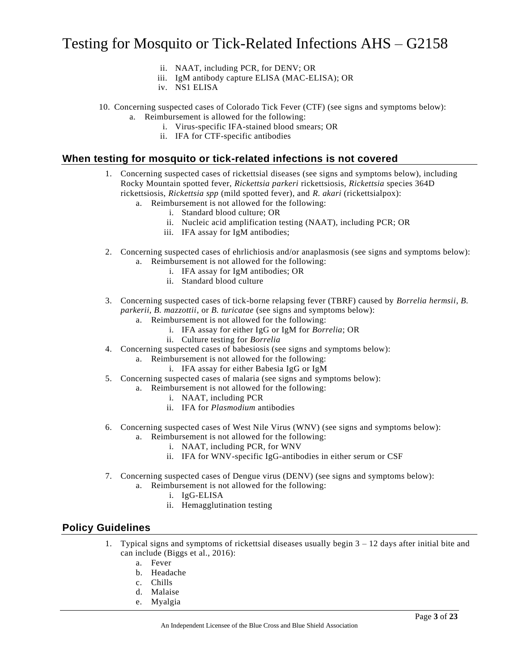- ii. NAAT, including PCR, for DENV; OR
- iii. IgM antibody capture ELISA (MAC-ELISA); OR
- iv. NS1 ELISA
- 10. Concerning suspected cases of Colorado Tick Fever (CTF) (see signs and symptoms below): a. Reimbursement is allowed for the following:
	- i. Virus-specific IFA-stained blood smears; OR
	- ii. IFA for CTF-specific antibodies

### **When testing for mosquito or tick-related infections is not covered**

- 1. Concerning suspected cases of rickettsial diseases (see signs and symptoms below), including Rocky Mountain spotted fever, *Rickettsia parkeri* rickettsiosis, *Rickettsia* species 364D rickettsiosis, *Rickettsia spp* (mild spotted fever), and *R. akari* (rickettsialpox):
	- a. Reimbursement is not allowed for the following:
		- i. Standard blood culture; OR
		- ii. Nucleic acid amplification testing (NAAT), including PCR; OR
		- iii. IFA assay for IgM antibodies;
- 2. Concerning suspected cases of ehrlichiosis and/or anaplasmosis (see signs and symptoms below): a. Reimbursement is not allowed for the following:
	- i. IFA assay for IgM antibodies; OR
	- ii. Standard blood culture
- 3. Concerning suspected cases of tick-borne relapsing fever (TBRF) caused by *Borrelia hermsii*, *B. parkerii, B. mazzottii*, or *B. turicatae* (see signs and symptoms below):
	- a. Reimbursement is not allowed for the following:
		- i. IFA assay for either IgG or IgM for *Borrelia*; OR
		- ii. Culture testing for *Borrelia*
- 4. Concerning suspected cases of babesiosis (see signs and symptoms below):
	- a. Reimbursement is not allowed for the following:
		- i. IFA assay for either Babesia IgG or IgM
- 5. Concerning suspected cases of malaria (see signs and symptoms below):
	- a. Reimbursement is not allowed for the following:
		- i. NAAT, including PCR
		- ii. IFA for *Plasmodium* antibodies
- 6. Concerning suspected cases of West Nile Virus (WNV) (see signs and symptoms below):
	- a. Reimbursement is not allowed for the following:
		- i. NAAT, including PCR, for WNV
		- ii. IFA for WNV-specific IgG-antibodies in either serum or CSF
- 7. Concerning suspected cases of Dengue virus (DENV) (see signs and symptoms below):
	- a. Reimbursement is not allowed for the following:
		- i. IgG-ELISA
		- ii. Hemagglutination testing

### **Policy Guidelines**

- 1. Typical signs and symptoms of rickettsial diseases usually begin 3 12 days after initial bite and can include (Biggs et al., 2016):
	- a. Fever
	- b. Headache
	- c. Chills
	- d. Malaise
	- e. Myalgia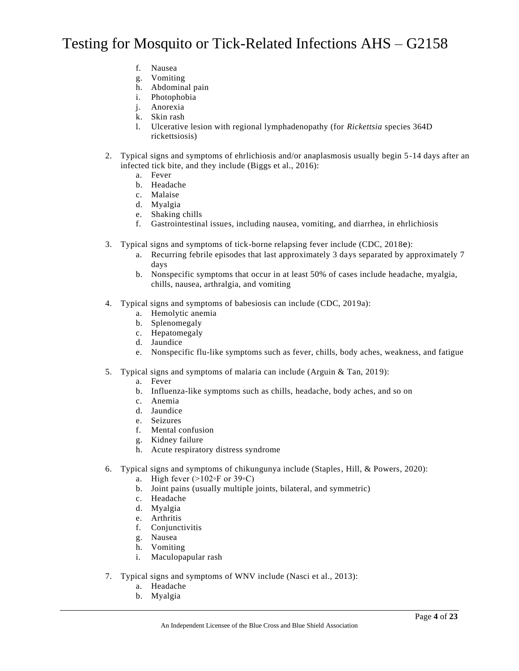- f. Nausea
- g. Vomiting
- h. Abdominal pain
- i. Photophobia
- j. Anorexia
- k. Skin rash
- l. Ulcerative lesion with regional lymphadenopathy (for *Rickettsia* species 364D rickettsiosis)
- 2. Typical signs and symptoms of ehrlichiosis and/or anaplasmosis usually begin 5-14 days after an infected tick bite, and they include (Biggs et al., 2016):
	- a. Fever
	- b. Headache
	- c. Malaise
	- d. Myalgia
	- e. Shaking chills
	- f. Gastrointestinal issues, including nausea, vomiting, and diarrhea, in ehrlichiosis
- 3. Typical signs and symptoms of tick-borne relapsing fever include (CDC, 2018e):
	- a. Recurring febrile episodes that last approximately 3 days separated by approximately 7 days
	- b. Nonspecific symptoms that occur in at least 50% of cases include headache, myalgia, chills, nausea, arthralgia, and vomiting
- 4. Typical signs and symptoms of babesiosis can include (CDC, 2019a):
	- a. Hemolytic anemia
	- b. Splenomegaly
	- c. Hepatomegaly
	- d. Jaundice
	- e. Nonspecific flu-like symptoms such as fever, chills, body aches, weakness, and fatigue
- 5. Typical signs and symptoms of malaria can include (Arguin & Tan, 2019):
	- a. Fever
	- b. Influenza-like symptoms such as chills, headache, body aches, and so on
	- c. Anemia
	- d. Jaundice
	- e. Seizures
	- f. Mental confusion
	- g. Kidney failure
	- h. Acute respiratory distress syndrome
- 6. Typical signs and symptoms of chikungunya include (Staples, Hill, & Powers, 2020):
	- a. High fever  $(>102\text{°F or }39\text{°C})$
	- b. Joint pains (usually multiple joints, bilateral, and symmetric)
	- c. Headache
	- d. Myalgia
	- e. Arthritis
	- f. Conjunctivitis
	- g. Nausea
	- h. Vomiting
	- i. Maculopapular rash
- 7. Typical signs and symptoms of WNV include (Nasci et al., 2013):
	- a. Headache
	- b. Myalgia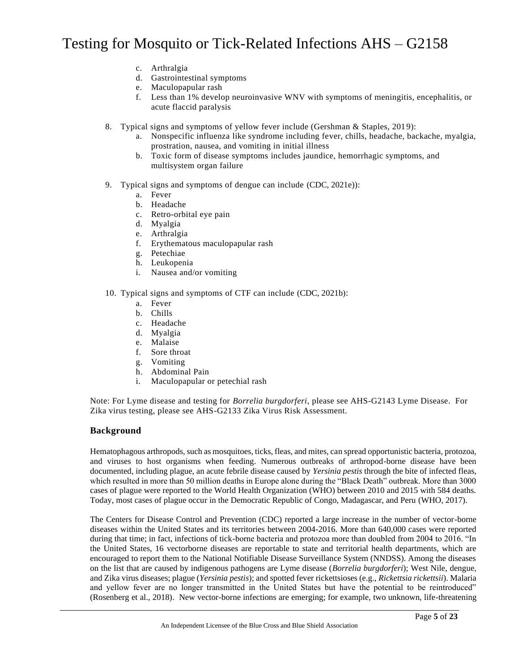- c. Arthralgia
- d. Gastrointestinal symptoms
- e. Maculopapular rash
- f. Less than 1% develop neuroinvasive WNV with symptoms of meningitis, encephalitis, or acute flaccid paralysis
- 8. Typical signs and symptoms of yellow fever include (Gershman & Staples, 2019):
	- a. Nonspecific influenza like syndrome including fever, chills, headache, backache, myalgia, prostration, nausea, and vomiting in initial illness
	- b. Toxic form of disease symptoms includes jaundice, hemorrhagic symptoms, and multisystem organ failure
- 9. Typical signs and symptoms of dengue can include (CDC, 2021e)):
	- a. Fever
	- b. Headache
	- c. Retro-orbital eye pain
	- d. Myalgia
	- e. Arthralgia
	- f. Erythematous maculopapular rash
	- g. Petechiae
	- h. Leukopenia
	- i. Nausea and/or vomiting
- 10. Typical signs and symptoms of CTF can include (CDC, 2021b):
	- a. Fever
	- b. Chills
	- c. Headache
	- d. Myalgia
	- e. Malaise
	- f. Sore throat
	- g. Vomiting
	- h. Abdominal Pain
	- i. Maculopapular or petechial rash

Note: For Lyme disease and testing for *Borrelia burgdorferi*, please see AHS-G2143 Lyme Disease. For Zika virus testing, please see AHS-G2133 Zika Virus Risk Assessment.

### **Background**

Hematophagous arthropods, such as mosquitoes, ticks, fleas, and mites, can spread opportunistic bacteria, protozoa, and viruses to host organisms when feeding. Numerous outbreaks of arthropod-borne disease have been documented, including plague, an acute febrile disease caused by *Yersinia pestis* through the bite of infected fleas, which resulted in more than 50 million deaths in Europe alone during the "Black Death" outbreak. More than 3000 cases of plague were reported to the World Health Organization (WHO) between 2010 and 2015 with 584 deaths. Today, most cases of plague occur in the Democratic Republic of Congo, Madagascar, and Peru (WHO, 2017).

The Centers for Disease Control and Prevention (CDC) reported a large increase in the number of vector-borne diseases within the United States and its territories between 2004-2016. More than 640,000 cases were reported during that time; in fact, infections of tick-borne bacteria and protozoa more than doubled from 2004 to 2016. "In the United States, 16 vectorborne diseases are reportable to state and territorial health departments, which are encouraged to report them to the National Notifiable Disease Surveillance System (NNDSS). Among the diseases on the list that are caused by indigenous pathogens are Lyme disease (*Borrelia burgdorferi*); West Nile, dengue, and Zika virus diseases; plague (*Yersinia pestis*); and spotted fever rickettsioses (e.g., *Rickettsia rickettsii*). Malaria and yellow fever are no longer transmitted in the United States but have the potential to be reintroduced" (Rosenberg et al., 2018). New vector-borne infections are emerging; for example, two unknown, life-threatening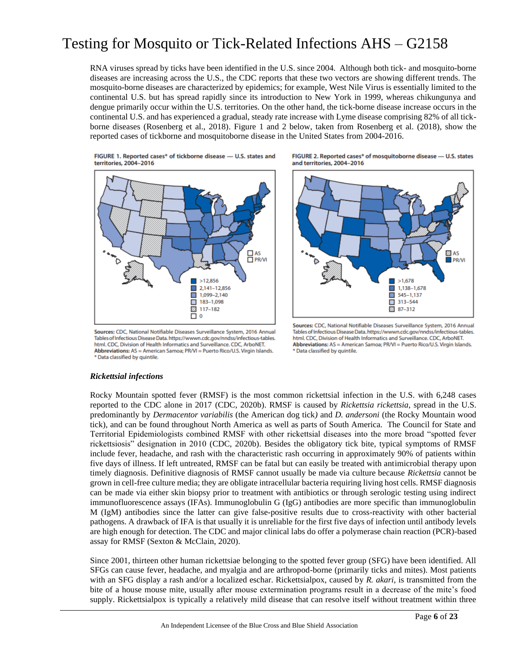RNA viruses spread by ticks have been identified in the U.S. since 2004. Although both tick- and mosquito-borne diseases are increasing across the U.S., the CDC reports that these two vectors are showing different trends. The mosquito-borne diseases are characterized by epidemics; for example, West Nile Virus is essentially limited to the continental U.S. but has spread rapidly since its introduction to New York in 1999, whereas chikungunya and dengue primarily occur within the U.S. territories. On the other hand, the tick-borne disease increase occurs in the continental U.S. and has experienced a gradual, steady rate increase with Lyme disease comprising 82% of all tickborne diseases (Rosenberg et al., 2018). Figure 1 and 2 below, taken from Rosenberg et al. (2018), show the reported cases of tickborne and mosquitoborne disease in the United States from 2004-2016.

FIGURE 1. Reported cases\* of tickborne disease - U.S. states and territories, 2004-2016



Sources: CDC, National Notifiable Diseases Surveillance System, 2016 Annual Tables of Infectious Disease Data. https://wwwn.cdc.gov/nndss/infectious-tables. html. CDC, Division of Health Informatics and Surveillance. CDC, ArboNET. Abbreviations: AS = American Samoa; PR/VI = Puerto Rico/U.S. Virgin Islands. \* Data classified by quintile.

FIGURE 2. Reported cases\* of mosquitoborne disease - U.S. states and territories, 2004-2016



Sources: CDC, National Notifiable Diseases Surveillance System, 2016 Annual Tables of Infectious Disease Data, https://wwwn.cdc.gov/nndss/infectious-tables. html. CDC, Division of Health Informatics and Surveillance. CDC, ArboNET. Abbreviations: AS = American Samoa; PR/VI = Puerto Rico/U.S. Virgin Islands. \* Data classified by quintile.

### *Rickettsial infections*

Rocky Mountain spotted fever (RMSF) is the most common rickettsial infection in the U.S. with 6,248 cases reported to the CDC alone in 2017 (CDC, 2020b). RMSF is caused by *Rickettsia rickettsia*, spread in the U.S. predominantly by *Dermacentor variabilis* (the American dog tick*)* and *D. andersoni* (the Rocky Mountain wood tick), and can be found throughout North America as well as parts of South America. The Council for State and Territorial Epidemiologists combined RMSF with other rickettsial diseases into the more broad "spotted fever rickettsiosis" designation in 2010 (CDC, 2020b). Besides the obligatory tick bite, typical symptoms of RMSF include fever, headache, and rash with the characteristic rash occurring in approximately 90% of patients within five days of illness. If left untreated, RMSF can be fatal but can easily be treated with antimicrobial therapy upon timely diagnosis. Definitive diagnosis of RMSF cannot usually be made via culture because *Rickettsia* cannot be grown in cell-free culture media; they are obligate intracellular bacteria requiring living host cells. RMSF diagnosis can be made via either skin biopsy prior to treatment with antibiotics or through serologic testing using indirect immunofluorescence assays (IFAs). Immunoglobulin G (IgG) antibodies are more specific than immunoglobulin M (IgM) antibodies since the latter can give false-positive results due to cross-reactivity with other bacterial pathogens. A drawback of IFA is that usually it is unreliable for the first five days of infection until antibody levels are high enough for detection. The CDC and major clinical labs do offer a polymerase chain reaction (PCR)-based assay for RMSF (Sexton & McClain, 2020).

Since 2001, thirteen other human rickettsiae belonging to the spotted fever group (SFG) have been identified. All SFGs can cause fever, headache, and myalgia and are arthropod-borne (primarily ticks and mites). Most patients with an SFG display a rash and/or a localized eschar. Rickettsialpox, caused by *R. akari*, is transmitted from the bite of a house mouse mite, usually after mouse extermination programs result in a decrease of the mite's food supply. Rickettsialpox is typically a relatively mild disease that can resolve itself without treatment within three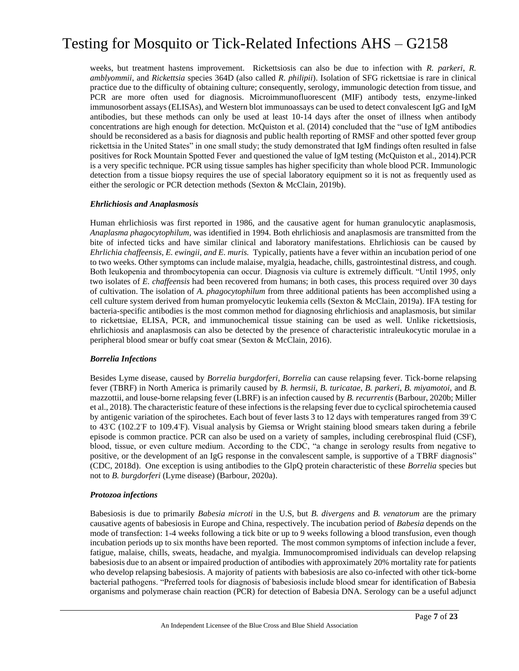weeks, but treatment hastens improvement. Rickettsiosis can also be due to infection with *R. parkeri*, *R. amblyommii*, and *Rickettsia* species 364D (also called *R. philipii*). Isolation of SFG rickettsiae is rare in clinical practice due to the difficulty of obtaining culture; consequently, serology, immunologic detection from tissue, and PCR are more often used for diagnosis. Microimmunofluorescent (MIF) antibody tests, enzyme-linked immunosorbent assays (ELISAs), and Western blot immunoassays can be used to detect convalescent IgG and IgM antibodies, but these methods can only be used at least 10-14 days after the onset of illness when antibody concentrations are high enough for detection. McQuiston et al. (2014) concluded that the "use of IgM antibodies should be reconsidered as a basis for diagnosis and public health reporting of RMSF and other spotted fever group rickettsia in the United States" in one small study; the study demonstrated that IgM findings often resulted in false positives for Rock Mountain Spotted Fever and questioned the value of IgM testing (McQuiston et al., 2014).PCR is a very specific technique. PCR using tissue samples has higher specificity than whole blood PCR. Immunologic detection from a tissue biopsy requires the use of special laboratory equipment so it is not as frequently used as either the serologic or PCR detection methods (Sexton & McClain, 2019b).

#### *Ehrlichiosis and Anaplasmosis*

Human ehrlichiosis was first reported in 1986, and the causative agent for human granulocytic anaplasmosis, *Anaplasma phagocytophilum*, was identified in 1994. Both ehrlichiosis and anaplasmosis are transmitted from the bite of infected ticks and have similar clinical and laboratory manifestations. Ehrlichiosis can be caused by *Ehrlichia chaffeensis, E. ewingii, and E. muris.* Typically, patients have a fever within an incubation period of one to two weeks. Other symptoms can include malaise, myalgia, headache, chills, gastrointestinal distress, and cough. Both leukopenia and thrombocytopenia can occur. Diagnosis via culture is extremely difficult. "Until 1995, only two isolates of *E. chaffeensis* had been recovered from humans; in both cases, this process required over 30 days of cultivation. The isolation of *A. phagocytophilum* from three additional patients has been accomplished using a cell culture system derived from human promyelocytic leukemia cells (Sexton & McClain, 2019a). IFA testing for bacteria-specific antibodies is the most common method for diagnosing ehrlichiosis and anaplasmosis, but similar to rickettsiae, ELISA, PCR, and immunochemical tissue staining can be used as well. Unlike rickettsiosis, ehrlichiosis and anaplasmosis can also be detected by the presence of characteristic intraleukocytic morulae in a peripheral blood smear or buffy coat smear (Sexton & McClain, 2016).

### *Borrelia Infections*

Besides Lyme disease, caused by *Borrelia burgdorferi*, *Borrelia* can cause relapsing fever. Tick-borne relapsing fever (TBRF) in North America is primarily caused by *B. hermsii*, *B. turicatae*, *B. parkeri, B. miyamotoi,* and *B.*  mazzottii, and louse-borne relapsing fever (LBRF) is an infection caused by *B. recurrentis* (Barbour, 2020b; Miller et al., 2018). The characteristic feature of these infections is the relapsing fever due to cyclical spirochetemia caused by antigenic variation of the spirochetes. Each bout of fever lasts 3 to 12 days with temperatures ranged from 39◦C to 43◦C (102.2◦F to 109.4◦F). Visual analysis by Giemsa or Wright staining blood smears taken during a febrile episode is common practice. PCR can also be used on a variety of samples, including cerebrospinal fluid (CSF), blood, tissue, or even culture medium. According to the CDC, "a change in serology results from negative to positive, or the development of an IgG response in the convalescent sample, is supportive of a TBRF diagnosis" (CDC, 2018d). One exception is using antibodies to the GlpQ protein characteristic of these *Borrelia* species but not to *B. burgdorferi* (Lyme disease) (Barbour, 2020a).

#### *Protozoa infections*

Babesiosis is due to primarily *Babesia microti* in the U.S, but *B. divergens* and *B. venatorum* are the primary causative agents of babesiosis in Europe and China, respectively. The incubation period of *Babesia* depends on the mode of transfection: 1-4 weeks following a tick bite or up to 9 weeks following a blood transfusion, even though incubation periods up to six months have been reported. The most common symptoms of infection include a fever, fatigue, malaise, chills, sweats, headache, and myalgia. Immunocompromised individuals can develop relapsing babesiosis due to an absent or impaired production of antibodies with approximately 20% mortality rate for patients who develop relapsing babesiosis. A majority of patients with babesiosis are also co-infected with other tick-borne bacterial pathogens. "Preferred tools for diagnosis of babesiosis include blood smear for identification of Babesia organisms and polymerase chain reaction (PCR) for detection of Babesia DNA. Serology can be a useful adjunct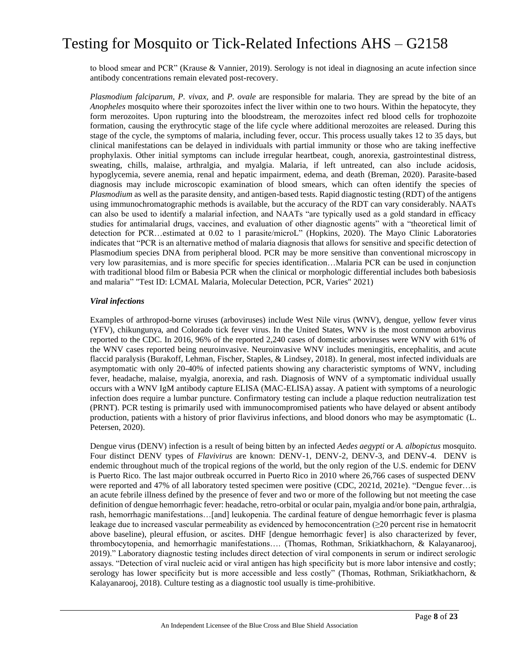to blood smear and PCR" (Krause & Vannier, 2019). Serology is not ideal in diagnosing an acute infection since antibody concentrations remain elevated post-recovery.

*Plasmodium falciparum, P. vivax,* and *P. ovale* are responsible for malaria. They are spread by the bite of an *Anopheles* mosquito where their sporozoites infect the liver within one to two hours. Within the hepatocyte, they form merozoites. Upon rupturing into the bloodstream, the merozoites infect red blood cells for trophozoite formation, causing the erythrocytic stage of the life cycle where additional merozoites are released. During this stage of the cycle, the symptoms of malaria, including fever, occur. This process usually takes 12 to 35 days, but clinical manifestations can be delayed in individuals with partial immunity or those who are taking ineffective prophylaxis. Other initial symptoms can include irregular heartbeat, cough, anorexia, gastrointestinal distress, sweating, chills, malaise, arthralgia, and myalgia. Malaria, if left untreated, can also include acidosis, hypoglycemia, severe anemia, renal and hepatic impairment, edema, and death (Breman, 2020). Parasite-based diagnosis may include microscopic examination of blood smears, which can often identify the species of *Plasmodium* as well as the parasite density, and antigen-based tests. Rapid diagnostic testing (RDT) of the antigens using immunochromatographic methods is available, but the accuracy of the RDT can vary considerably. NAATs can also be used to identify a malarial infection, and NAATs "are typically used as a gold standard in efficacy studies for antimalarial drugs, vaccines, and evaluation of other diagnostic agents" with a "theoretical limit of detection for PCR…estimated at 0.02 to 1 parasite/microL" (Hopkins, 2020). The Mayo Clinic Laboratories indicates that "PCR is an alternative method of malaria diagnosis that allows for sensitive and specific detection of Plasmodium species DNA from peripheral blood. PCR may be more sensitive than conventional microscopy in very low parasitemias, and is more specific for species identification…Malaria PCR can be used in conjunction with traditional blood film or Babesia PCR when the clinical or morphologic differential includes both babesiosis and malaria" "Test ID: LCMAL Malaria, Molecular Detection, PCR, Varies" 2021)

#### *Viral infections*

Examples of arthropod-borne viruses (arboviruses) include West Nile virus (WNV), dengue, yellow fever virus (YFV), chikungunya, and Colorado tick fever virus. In the United States, WNV is the most common arbovirus reported to the CDC. In 2016, 96% of the reported 2,240 cases of domestic arboviruses were WNV with 61% of the WNV cases reported being neuroinvasive. Neuroinvasive WNV includes meningitis, encephalitis, and acute flaccid paralysis (Burakoff, Lehman, Fischer, Staples, & Lindsey, 2018). In general, most infected individuals are asymptomatic with only 20-40% of infected patients showing any characteristic symptoms of WNV, including fever, headache, malaise, myalgia, anorexia, and rash. Diagnosis of WNV of a symptomatic individual usually occurs with a WNV IgM antibody capture ELISA (MAC-ELISA) assay. A patient with symptoms of a neurologic infection does require a lumbar puncture. Confirmatory testing can include a plaque reduction neutralization test (PRNT). PCR testing is primarily used with immunocompromised patients who have delayed or absent antibody production, patients with a history of prior flavivirus infections, and blood donors who may be asymptomatic (L. Petersen, 2020).

Dengue virus (DENV) infection is a result of being bitten by an infected *Aedes aegypti* or *A. albopictus* mosquito. Four distinct DENV types of *Flavivirus* are known: DENV-1, DENV-2, DENV-3, and DENV-4. DENV is endemic throughout much of the tropical regions of the world, but the only region of the U.S. endemic for DENV is Puerto Rico. The last major outbreak occurred in Puerto Rico in 2010 where 26,766 cases of suspected DENV were reported and 47% of all laboratory tested specimen were positive (CDC, 2021d, 2021e). "Dengue fever…is an acute febrile illness defined by the presence of fever and two or more of the following but not meeting the case definition of dengue hemorrhagic fever: headache, retro-orbital or ocular pain, myalgia and/or bone pain, arthralgia, rash, hemorrhagic manifestations…[and] leukopenia. The cardinal feature of dengue hemorrhagic fever is plasma leakage due to increased vascular permeability as evidenced by hemoconcentration (≥20 percent rise in hematocrit above baseline), pleural effusion, or ascites. DHF [dengue hemorrhagic fever] is also characterized by fever, thrombocytopenia, and hemorrhagic manifestations…. (Thomas, Rothman, Srikiatkhachorn, & Kalayanarooj, 2019)." Laboratory diagnostic testing includes direct detection of viral components in serum or indirect serologic assays. "Detection of viral nucleic acid or viral antigen has high specificity but is more labor intensive and costly; serology has lower specificity but is more accessible and less costly" (Thomas, Rothman, Srikiatkhachorn, & Kalayanarooj, 2018). Culture testing as a diagnostic tool usually is time-prohibitive.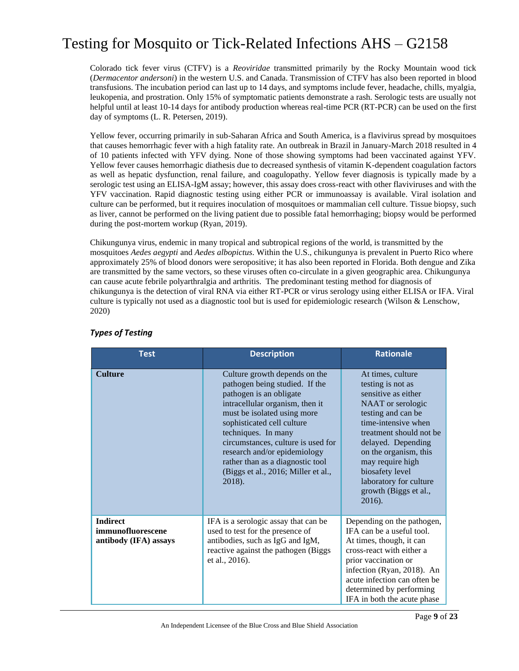Colorado tick fever virus (CTFV) is a *Reoviridae* transmitted primarily by the Rocky Mountain wood tick (*Dermacentor andersoni*) in the western U.S. and Canada. Transmission of CTFV has also been reported in blood transfusions. The incubation period can last up to 14 days, and symptoms include fever, headache, chills, myalgia, leukopenia, and prostration. Only 15% of symptomatic patients demonstrate a rash. Serologic tests are usually not helpful until at least 10-14 days for antibody production whereas real-time PCR (RT-PCR) can be used on the first day of symptoms (L. R. Petersen, 2019).

Yellow fever, occurring primarily in sub-Saharan Africa and South America, is a flavivirus spread by mosquitoes that causes hemorrhagic fever with a high fatality rate. An outbreak in Brazil in January-March 2018 resulted in 4 of 10 patients infected with YFV dying. None of those showing symptoms had been vaccinated against YFV. Yellow fever causes hemorrhagic diathesis due to decreased synthesis of vitamin K-dependent coagulation factors as well as hepatic dysfunction, renal failure, and coagulopathy. Yellow fever diagnosis is typically made by a serologic test using an ELISA-IgM assay; however, this assay does cross-react with other flaviviruses and with the YFV vaccination. Rapid diagnostic testing using either PCR or immunoassay is available. Viral isolation and culture can be performed, but it requires inoculation of mosquitoes or mammalian cell culture. Tissue biopsy, such as liver, cannot be performed on the living patient due to possible fatal hemorrhaging; biopsy would be performed during the post-mortem workup (Ryan, 2019).

Chikungunya virus, endemic in many tropical and subtropical regions of the world, is transmitted by the mosquitoes *Aedes aegypti* and *Aedes albopictus*. Within the U.S., chikungunya is prevalent in Puerto Rico where approximately 25% of blood donors were seropositive; it has also been reported in Florida. Both dengue and Zika are transmitted by the same vectors, so these viruses often co-circulate in a given geographic area. Chikungunya can cause acute febrile polyarthralgia and arthritis. The predominant testing method for diagnosis of chikungunya is the detection of viral RNA via either RT-PCR or virus serology using either ELISA or IFA. Viral culture is typically not used as a diagnostic tool but is used for epidemiologic research (Wilson & Lenschow, 2020)

| <b>Test</b>                                                   | <b>Description</b>                                                                                                                                                                                                                                                                                                                                                           | <b>Rationale</b>                                                                                                                                                                                                                                                                                              |
|---------------------------------------------------------------|------------------------------------------------------------------------------------------------------------------------------------------------------------------------------------------------------------------------------------------------------------------------------------------------------------------------------------------------------------------------------|---------------------------------------------------------------------------------------------------------------------------------------------------------------------------------------------------------------------------------------------------------------------------------------------------------------|
| <b>Culture</b>                                                | Culture growth depends on the<br>pathogen being studied. If the<br>pathogen is an obligate<br>intracellular organism, then it<br>must be isolated using more<br>sophisticated cell culture<br>techniques. In many<br>circumstances, culture is used for<br>research and/or epidemiology<br>rather than as a diagnostic tool<br>(Biggs et al., 2016; Miller et al.,<br>2018). | At times, culture<br>testing is not as<br>sensitive as either<br>NAAT or serologic<br>testing and can be<br>time-intensive when<br>treatment should not be<br>delayed. Depending<br>on the organism, this<br>may require high<br>biosafety level<br>laboratory for culture<br>growth (Biggs et al.,<br>2016). |
| <b>Indirect</b><br>immunofluorescene<br>antibody (IFA) assays | IFA is a serologic assay that can be<br>used to test for the presence of<br>antibodies, such as IgG and IgM,<br>reactive against the pathogen (Biggs<br>et al., 2016).                                                                                                                                                                                                       | Depending on the pathogen,<br>IFA can be a useful tool.<br>At times, though, it can<br>cross-react with either a<br>prior vaccination or<br>infection (Ryan, 2018). An<br>acute infection can often be<br>determined by performing<br>IFA in both the acute phase                                             |

### *Types of Testing*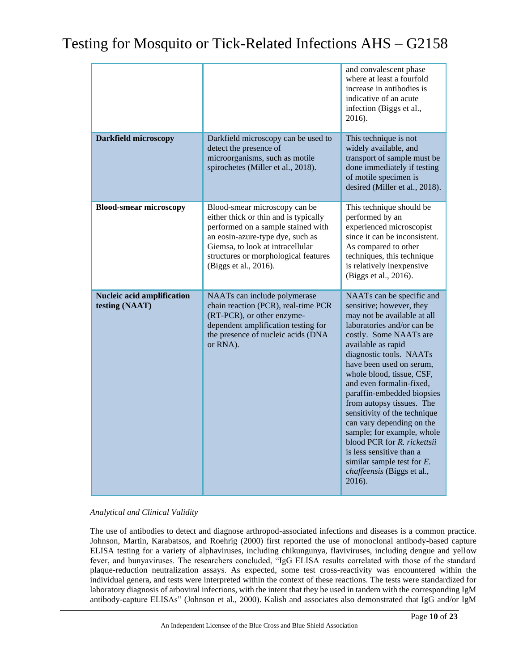|                                              |                                                                                                                                                                                                                                                       | and convalescent phase<br>where at least a fourfold<br>increase in antibodies is<br>indicative of an acute<br>infection (Biggs et al.,<br>2016).                                                                                                                                                                                                                                                                                                                                                                                                                             |
|----------------------------------------------|-------------------------------------------------------------------------------------------------------------------------------------------------------------------------------------------------------------------------------------------------------|------------------------------------------------------------------------------------------------------------------------------------------------------------------------------------------------------------------------------------------------------------------------------------------------------------------------------------------------------------------------------------------------------------------------------------------------------------------------------------------------------------------------------------------------------------------------------|
| <b>Darkfield microscopy</b>                  | Darkfield microscopy can be used to<br>detect the presence of<br>microorganisms, such as motile<br>spirochetes (Miller et al., 2018).                                                                                                                 | This technique is not<br>widely available, and<br>transport of sample must be<br>done immediately if testing<br>of motile specimen is<br>desired (Miller et al., 2018).                                                                                                                                                                                                                                                                                                                                                                                                      |
| <b>Blood-smear microscopy</b>                | Blood-smear microscopy can be<br>either thick or thin and is typically<br>performed on a sample stained with<br>an eosin-azure-type dye, such as<br>Giemsa, to look at intracellular<br>structures or morphological features<br>(Biggs et al., 2016). | This technique should be<br>performed by an<br>experienced microscopist<br>since it can be inconsistent.<br>As compared to other<br>techniques, this technique<br>is relatively inexpensive<br>(Biggs et al., 2016).                                                                                                                                                                                                                                                                                                                                                         |
| Nucleic acid amplification<br>testing (NAAT) | NAATs can include polymerase<br>chain reaction (PCR), real-time PCR<br>(RT-PCR), or other enzyme-<br>dependent amplification testing for<br>the presence of nucleic acids (DNA<br>or RNA).                                                            | NAATs can be specific and<br>sensitive; however, they<br>may not be available at all<br>laboratories and/or can be<br>costly. Some NAATs are<br>available as rapid<br>diagnostic tools. NAATs<br>have been used on serum,<br>whole blood, tissue, CSF,<br>and even formalin-fixed,<br>paraffin-embedded biopsies<br>from autopsy tissues. The<br>sensitivity of the technique<br>can vary depending on the<br>sample; for example, whole<br>blood PCR for R. rickettsii<br>is less sensitive than a<br>similar sample test for $E$ .<br>chaffeensis (Biggs et al.,<br>2016). |

### *Analytical and Clinical Validity*

The use of antibodies to detect and diagnose arthropod-associated infections and diseases is a common practice. Johnson, Martin, Karabatsos, and Roehrig (2000) first reported the use of monoclonal antibody-based capture ELISA testing for a variety of alphaviruses, including chikungunya, flaviviruses, including dengue and yellow fever, and bunyaviruses. The researchers concluded, "IgG ELISA results correlated with those of the standard plaque-reduction neutralization assays. As expected, some test cross-reactivity was encountered within the individual genera, and tests were interpreted within the context of these reactions. The tests were standardized for laboratory diagnosis of arboviral infections, with the intent that they be used in tandem with the corresponding IgM antibody-capture ELISAs" (Johnson et al., 2000). Kalish and associates also demonstrated that IgG and/or IgM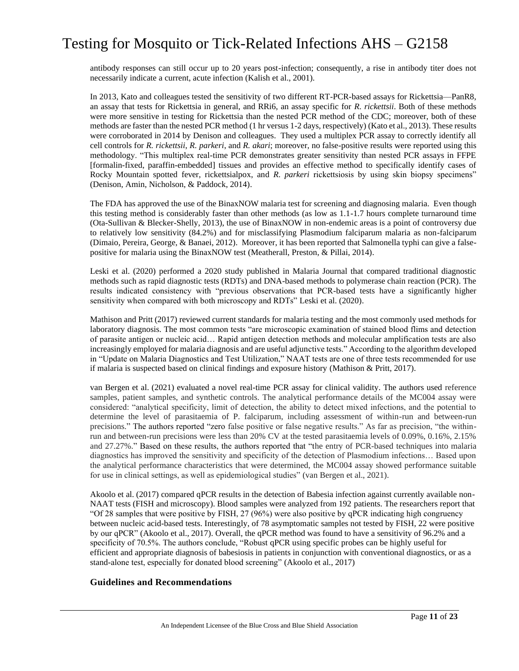antibody responses can still occur up to 20 years post-infection; consequently, a rise in antibody titer does not necessarily indicate a current, acute infection (Kalish et al., 2001).

In 2013, Kato and colleagues tested the sensitivity of two different RT-PCR-based assays for Rickettsia—PanR8, an assay that tests for Rickettsia in general, and RRi6, an assay specific for *R. rickettsii*. Both of these methods were more sensitive in testing for Rickettsia than the nested PCR method of the CDC; moreover, both of these methods are faster than the nested PCR method (1 hr versus 1-2 days, respectively) (Kato et al., 2013). These results were corroborated in 2014 by Denison and colleagues. They used a multiplex PCR assay to correctly identify all cell controls for *R. rickettsii*, *R. parkeri*, and *R. akari*; moreover, no false-positive results were reported using this methodology. "This multiplex real-time PCR demonstrates greater sensitivity than nested PCR assays in FFPE [formalin-fixed, paraffin-embedded] tissues and provides an effective method to specifically identify cases of Rocky Mountain spotted fever, rickettsialpox, and *R. parkeri* rickettsiosis by using skin biopsy specimens" (Denison, Amin, Nicholson, & Paddock, 2014).

The FDA has approved the use of the BinaxNOW malaria test for screening and diagnosing malaria. Even though this testing method is considerably faster than other methods (as low as 1.1-1.7 hours complete turnaround time (Ota-Sullivan & Blecker-Shelly, 2013), the use of BinaxNOW in non-endemic areas is a point of controversy due to relatively low sensitivity (84.2%) and for misclassifying Plasmodium falciparum malaria as non-falciparum (Dimaio, Pereira, George, & Banaei, 2012). Moreover, it has been reported that Salmonella typhi can give a falsepositive for malaria using the BinaxNOW test (Meatherall, Preston, & Pillai, 2014).

Leski et al. (2020) performed a 2020 study published in Malaria Journal that compared traditional diagnostic methods such as rapid diagnostic tests (RDTs) and DNA-based methods to polymerase chain reaction (PCR). The results indicated consistency with "previous observations that PCR-based tests have a significantly higher sensitivity when compared with both microscopy and RDTs" Leski et al. (2020).

Mathison and Pritt (2017) reviewed current standards for malaria testing and the most commonly used methods for laboratory diagnosis. The most common tests "are microscopic examination of stained blood flims and detection of parasite antigen or nucleic acid… Rapid antigen detection methods and molecular amplification tests are also increasingly employed for malaria diagnosis and are useful adjunctive tests." According to the algorithm developed in "Update on Malaria Diagnostics and Test Utilization," NAAT tests are one of three tests recommended for use if malaria is suspected based on clinical findings and exposure history (Mathison & Pritt, 2017).

van Bergen et al. (2021) evaluated a novel real-time PCR assay for clinical validity. The authors used reference samples, patient samples, and synthetic controls. The analytical performance details of the MC004 assay were considered: "analytical specificity, limit of detection, the ability to detect mixed infections, and the potential to determine the level of parasitaemia of P. falciparum, including assessment of within-run and between-run precisions." The authors reported "zero false positive or false negative results." As far as precision, "the withinrun and between-run precisions were less than 20% CV at the tested parasitaemia levels of 0.09%, 0.16%, 2.15% and 27.27%." Based on these results, the authors reported that "the entry of PCR-based techniques into malaria diagnostics has improved the sensitivity and specificity of the detection of Plasmodium infections… Based upon the analytical performance characteristics that were determined, the MC004 assay showed performance suitable for use in clinical settings, as well as epidemiological studies" (van Bergen et al., 2021).

Akoolo et al. (2017) compared qPCR results in the detection of Babesia infection against currently available non-NAAT tests (FISH and microscopy). Blood samples were analyzed from 192 patients. The researchers report that "Of 28 samples that were positive by FISH, 27 (96%) were also positive by qPCR indicating high congruency between nucleic acid-based tests. Interestingly, of 78 asymptomatic samples not tested by FISH, 22 were positive by our qPCR" (Akoolo et al., 2017). Overall, the qPCR method was found to have a sensitivity of 96.2% and a specificity of 70.5%. The authors conclude, "Robust qPCR using specific probes can be highly useful for efficient and appropriate diagnosis of babesiosis in patients in conjunction with conventional diagnostics, or as a stand-alone test, especially for donated blood screening" (Akoolo et al., 2017)

### **Guidelines and Recommendations**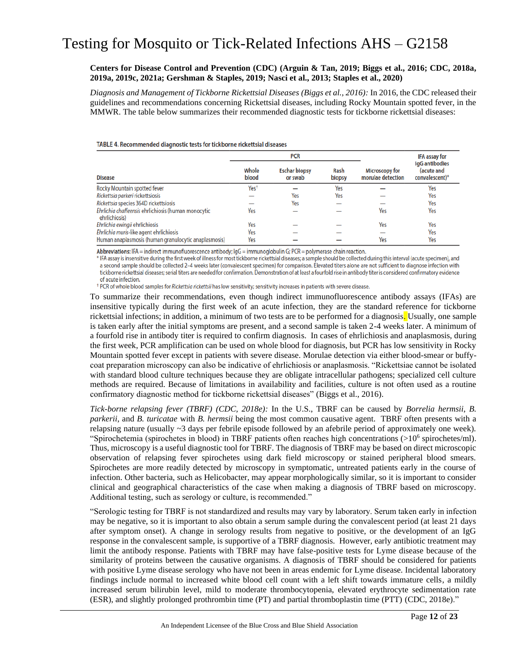#### **Centers for Disease Control and Prevention (CDC) (Arguin & Tan, 2019; Biggs et al., 2016; CDC, 2018a, 2019a, 2019c, 2021a; Gershman & Staples, 2019; Nasci et al., 2013; Staples et al., 2020)**

*Diagnosis and Management of Tickborne Rickettsial Diseases (Biggs et al., 2016):* In 2016, the CDC released their guidelines and recommendations concerning Rickettsial diseases, including Rocky Mountain spotted fever, in the MMWR. The table below summarizes their recommended diagnostic tests for tickborne rickettsial diseases:

#### TABLE 4. Recommended diagnostic tests for tickborne rickettsial diseases

|                                                                      | <b>PCR</b>       |                                 |                       |                                            | <b>IFA assay for</b>                           |
|----------------------------------------------------------------------|------------------|---------------------------------|-----------------------|--------------------------------------------|------------------------------------------------|
| <b>Disease</b>                                                       | Whole<br>blood   | <b>Eschar biopsy</b><br>or swab | <b>Rash</b><br>biopsy | <b>Microscopy for</b><br>morulae detection | IgG antibodies<br>(acute and<br>convalescent)* |
| <b>Rocky Mountain spotted fever</b>                                  | Yes <sup>t</sup> |                                 | Yes                   |                                            | Yes                                            |
| Rickettsia parkeri rickettsiosis                                     |                  | Yes                             | Yes                   |                                            | Yes                                            |
| Rickettsia species 364D rickettsiosis                                |                  | Yes                             |                       |                                            | Yes                                            |
| Ehrlichia chaffeensis ehrlichiosis (human monocytic<br>ehrlichiosis) | Yes              |                                 |                       | Yes                                        | Yes                                            |
| Ehrlichia ewingii ehrlichiosis                                       | Yes              |                                 |                       | Yes                                        | Yes                                            |
| Ehrlichia muris-like agent ehrlichiosis                              | Yes              |                                 |                       |                                            | Yes                                            |
| Human anaplasmosis (human granulocytic anaplasmosis)                 | Yes              |                                 |                       | Yes                                        | Yes                                            |

Abbreviations: IFA = indirect immunofluorescence antibody;  $\lg G$  = immunoglobulin G; PCR = polymerase chain reaction.

\* IFA assay is insensitive during the first week of illness for most tickborne rickettsial diseases; a sample should be collected during this interval (acute specimen), and a second sample should be collected 2-4 weeks later (convalescent specimen) for comparison. Elevated titers alone are not sufficient to diagnose infection with tickborne rickettsial diseases; serial titers are needed for confirmation. Demonstration of at least a fourfold rise in antibody titer is considered confirmatory evidence of acute infection.

<sup>+</sup> PCR of whole blood samples for Rickettsia rickettsii has low sensitivity; sensitivity increases in patients with severe disease.

To summarize their recommendations, even though indirect immunofluorescence antibody assays (IFAs) are insensitive typically during the first week of an acute infection, they are the standard reference for tickborne rickettsial infections; in addition, a minimum of two tests are to be performed for a diagnosis. Usually, one sample is taken early after the initial symptoms are present, and a second sample is taken 2-4 weeks later. A minimum of a fourfold rise in antibody titer is required to confirm diagnosis. In cases of ehrlichiosis and anaplasmosis, during the first week, PCR amplification can be used on whole blood for diagnosis, but PCR has low sensitivity in Rocky Mountain spotted fever except in patients with severe disease. Morulae detection via either blood-smear or buffycoat preparation microscopy can also be indicative of ehrlichiosis or anaplasmosis. "Rickettsiae cannot be isolated with standard blood culture techniques because they are obligate intracellular pathogens; specialized cell culture methods are required. Because of limitations in availability and facilities, culture is not often used as a routine confirmatory diagnostic method for tickborne rickettsial diseases" (Biggs et al., 2016).

*Tick-borne relapsing fever (TBRF) (CDC, 2018e):* In the U.S., TBRF can be caused by *Borrelia hermsii*, *B. parkerii,* and *B. turicatae* with *B. hermsii* being the most common causative agent. TBRF often presents with a relapsing nature (usually ~3 days per febrile episode followed by an afebrile period of approximately one week). "Spirochetemia (spirochetes in blood) in TBRF patients often reaches high concentrations  $(>10^6$  spirochetes/ml). Thus, microscopy is a useful diagnostic tool for TBRF. The diagnosis of TBRF may be based on direct microscopic observation of relapsing fever spirochetes using dark field microscopy or stained peripheral blood smears. Spirochetes are more readily detected by microscopy in symptomatic, untreated patients early in the course of infection. Other bacteria, such as Helicobacter, may appear morphologically similar, so it is important to consider clinical and geographical characteristics of the case when making a diagnosis of TBRF based on microscopy. Additional testing, such as serology or culture, is recommended."

"Serologic testing for TBRF is not standardized and results may vary by laboratory. Serum taken early in infection may be negative, so it is important to also obtain a serum sample during the convalescent period (at least 21 days after symptom onset). A change in serology results from negative to positive, or the development of an IgG response in the convalescent sample, is supportive of a TBRF diagnosis. However, early antibiotic treatment may limit the antibody response. Patients with TBRF may have false-positive tests for Lyme disease because of the similarity of proteins between the causative organisms. A diagnosis of TBRF should be considered for patients with positive Lyme disease serology who have not been in areas endemic for Lyme disease. Incidental laboratory findings include normal to increased white blood cell count with a left shift towards immature cells, a mildly increased serum bilirubin level, mild to moderate thrombocytopenia, elevated erythrocyte sedimentation rate (ESR), and slightly prolonged prothrombin time (PT) and partial thromboplastin time (PTT) (CDC, 2018e)."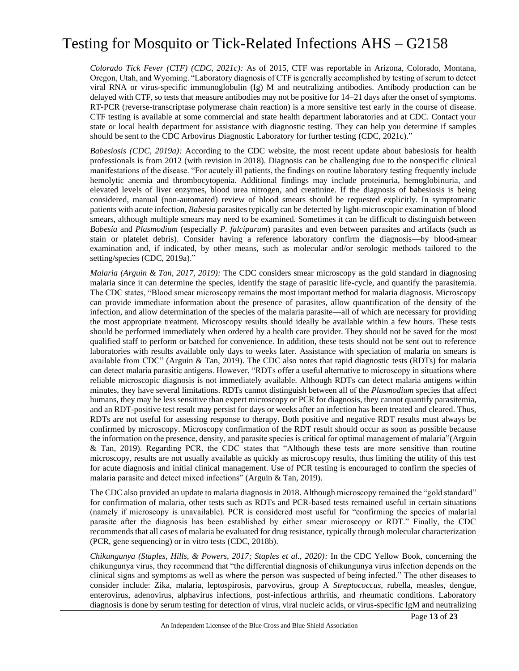*Colorado Tick Fever (CTF) (CDC, 2021c):* As of 2015, CTF was reportable in Arizona, Colorado, Montana, Oregon, Utah, and Wyoming. "Laboratory diagnosis of CTF is generally accomplished by testing of serum to detect viral RNA or virus-specific immunoglobulin (Ig) M and neutralizing antibodies. Antibody production can be delayed with CTF, so tests that measure antibodies may not be positive for 14–21 days after the onset of symptoms. RT-PCR (reverse-transcriptase polymerase chain reaction) is a more sensitive test early in the course of disease. CTF testing is available at some commercial and state health department laboratories and at CDC. Contact your state or local health department for assistance with diagnostic testing. They can help you determine if samples should be sent to the CDC Arbovirus Diagnostic Laboratory for further testing (CDC, 2021c)."

*Babesiosis (CDC, 2019a):* According to the CDC website, the most recent update about babesiosis for health professionals is from 2012 (with revision in 2018). Diagnosis can be challenging due to the nonspecific clinical manifestations of the disease. "For acutely ill patients, the findings on routine laboratory testing frequently include hemolytic anemia and thrombocytopenia. Additional findings may include proteinuria, hemoglobinuria, and elevated levels of liver enzymes, blood urea nitrogen, and creatinine. If the diagnosis of babesiosis is being considered, manual (non-automated) review of blood smears should be requested explicitly. In symptomatic patients with acute infection, *Babesia* parasites typically can be detected by light-microscopic examination of blood smears, although multiple smears may need to be examined. Sometimes it can be difficult to distinguish between *Babesia* and *Plasmodium* (especially *P. falciparum*) parasites and even between parasites and artifacts (such as stain or platelet debris). Consider having a reference laboratory confirm the diagnosis—by blood-smear examination and, if indicated, by other means, such as molecular and/or serologic methods tailored to the setting/species (CDC, 2019a)."

*Malaria (Arguin & Tan, 2017, 2019):* The CDC considers smear microscopy as the gold standard in diagnosing malaria since it can determine the species, identify the stage of parasitic life-cycle, and quantify the parasitemia. The CDC states, "Blood smear microscopy remains the most important method for malaria diagnosis. Microscopy can provide immediate information about the presence of parasites, allow quantification of the density of the infection, and allow determination of the species of the malaria parasite—all of which are necessary for providing the most appropriate treatment. Microscopy results should ideally be available within a few hours. These tests should be performed immediately when ordered by a health care provider. They should not be saved for the most qualified staff to perform or batched for convenience. In addition, these tests should not be sent out to reference laboratories with results available only days to weeks later. Assistance with speciation of malaria on smears is available from CDC" (Arguin & Tan, 2019). The CDC also notes that rapid diagnostic tests (RDTs) for malaria can detect malaria parasitic antigens. However, "RDTs offer a useful alternative to microscopy in situations where reliable microscopic diagnosis is not immediately available. Although RDTs can detect malaria antigens within minutes, they have several limitations. RDTs cannot distinguish between all of the *Plasmodium* species that affect humans, they may be less sensitive than expert microscopy or PCR for diagnosis, they cannot quantify parasitemia, and an RDT-positive test result may persist for days or weeks after an infection has been treated and cleared. Thus, RDTs are not useful for assessing response to therapy. Both positive and negative RDT results must always be confirmed by microscopy. Microscopy confirmation of the RDT result should occur as soon as possible because the information on the presence, density, and parasite species is critical for optimal management of malaria"(Arguin & Tan, 2019). Regarding PCR, the CDC states that "Although these tests are more sensitive than routine microscopy, results are not usually available as quickly as microscopy results, thus limiting the utility of this test for acute diagnosis and initial clinical management. Use of PCR testing is encouraged to confirm the species of malaria parasite and detect mixed infections" (Arguin & Tan, 2019).

The CDC also provided an update to malaria diagnosis in 2018. Although microscopy remained the "gold standard" for confirmation of malaria, other tests such as RDTs and PCR-based tests remained useful in certain situations (namely if microscopy is unavailable). PCR is considered most useful for "confirming the species of malarial parasite after the diagnosis has been established by either smear microscopy or RDT." Finally, the CDC recommends that all cases of malaria be evaluated for drug resistance, typically through molecular characterization (PCR, gene sequencing) or in vitro tests (CDC, 2018b).

*Chikungunya (Staples, Hills, & Powers, 2017; Staples et al., 2020):* In the CDC Yellow Book, concerning the chikungunya virus, they recommend that "the differential diagnosis of chikungunya virus infection depends on the clinical signs and symptoms as well as where the person was suspected of being infected." The other diseases to consider include: Zika, malaria, leptospirosis, parvovirus, group A *Streptococcus,* rubella, measles, dengue, enterovirus, adenovirus, alphavirus infections, post-infectious arthritis, and rheumatic conditions. Laboratory diagnosis is done by serum testing for detection of virus, viral nucleic acids, or virus-specific IgM and neutralizing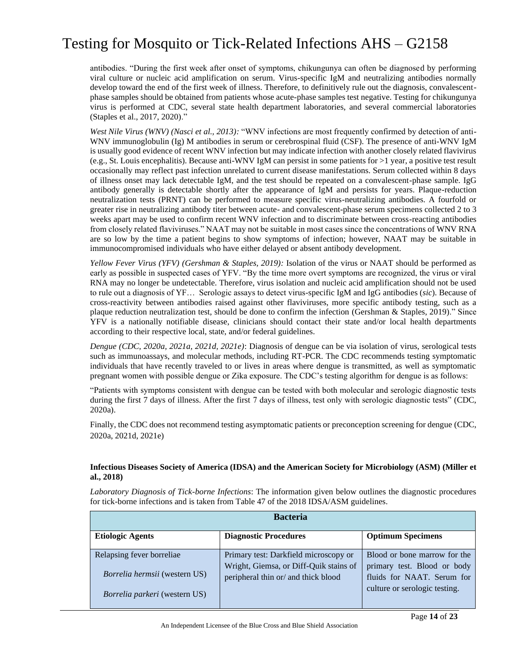antibodies. "During the first week after onset of symptoms, chikungunya can often be diagnosed by performing viral culture or nucleic acid amplification on serum. Virus-specific IgM and neutralizing antibodies normally develop toward the end of the first week of illness. Therefore, to definitively rule out the diagnosis, convalescentphase samples should be obtained from patients whose acute-phase samples test negative. Testing for chikungunya virus is performed at CDC, several state health department laboratories, and several commercial laboratories (Staples et al., 2017, 2020)."

*West Nile Virus (WNV) (Nasci et al., 2013):* "WNV infections are most frequently confirmed by detection of anti-WNV immunoglobulin (Ig) M antibodies in serum or cerebrospinal fluid (CSF). The presence of anti-WNV IgM is usually good evidence of recent WNV infection but may indicate infection with another closely related flavivirus (e.g., St. Louis encephalitis). Because anti-WNV IgM can persist in some patients for >1 year, a positive test result occasionally may reflect past infection unrelated to current disease manifestations. Serum collected within 8 days of illness onset may lack detectable IgM, and the test should be repeated on a convalescent-phase sample. IgG antibody generally is detectable shortly after the appearance of IgM and persists for years. Plaque-reduction neutralization tests (PRNT) can be performed to measure specific virus-neutralizing antibodies. A fourfold or greater rise in neutralizing antibody titer between acute- and convalescent-phase serum specimens collected 2 to 3 weeks apart may be used to confirm recent WNV infection and to discriminate between cross-reacting antibodies from closely related flaviviruses." NAAT may not be suitable in most cases since the concentrations of WNV RNA are so low by the time a patient begins to show symptoms of infection; however, NAAT may be suitable in immunocompromised individuals who have either delayed or absent antibody development.

*Yellow Fever Virus (YFV) (Gershman & Staples, 2019):* Isolation of the virus or NAAT should be performed as early as possible in suspected cases of YFV. "By the time more overt symptoms are recognized, the virus or viral RNA may no longer be undetectable. Therefore, virus isolation and nucleic acid amplification should not be used to rule out a diagnosis of YF… Serologic assays to detect virus-specific IgM and IgG antibodies (*sic*). Because of cross-reactivity between antibodies raised against other flaviviruses, more specific antibody testing, such as a plaque reduction neutralization test, should be done to confirm the infection (Gershman & Staples, 2019)." Since YFV is a nationally notifiable disease, clinicians should contact their state and/or local health departments according to their respective local, state, and/or federal guidelines.

*Dengue (CDC, 2020a, 2021a, 2021d, 2021e)*: Diagnosis of dengue can be via isolation of virus, serological tests such as immunoassays, and molecular methods, including RT-PCR. The CDC recommends testing symptomatic individuals that have recently traveled to or lives in areas where dengue is transmitted, as well as symptomatic pregnant women with possible dengue or Zika exposure. The CDC's testing algorithm for dengue is as follows:

"Patients with symptoms consistent with dengue can be tested with both molecular and serologic diagnostic tests during the first 7 days of illness. After the first 7 days of illness, test only with serologic diagnostic tests" (CDC, 2020a).

Finally, the CDC does not recommend testing asymptomatic patients or preconception screening for dengue (CDC, 2020a, 2021d, 2021e)

#### **Infectious Diseases Society of America (IDSA) and the American Society for Microbiology (ASM) (Miller et al., 2018)**

*Laboratory Diagnosis of Tick-borne Infections*: The information given below outlines the diagnostic procedures for tick-borne infections and is taken from Table 47 of the 2018 IDSA/ASM guidelines.

| <b>Bacteria</b>                                                   |                                                                                                                        |                                                                                                                            |
|-------------------------------------------------------------------|------------------------------------------------------------------------------------------------------------------------|----------------------------------------------------------------------------------------------------------------------------|
| <b>Etiologic Agents</b>                                           | <b>Diagnostic Procedures</b>                                                                                           | <b>Optimum Specimens</b>                                                                                                   |
| Relapsing fever borreliae<br><i>Borrelia hermsii</i> (western US) | Primary test: Darkfield microscopy or<br>Wright, Giemsa, or Diff-Quik stains of<br>peripheral thin or/ and thick blood | Blood or bone marrow for the<br>primary test. Blood or body<br>fluids for NAAT. Serum for<br>culture or serologic testing. |
| <i>Borrelia parkeri</i> (western US)                              |                                                                                                                        |                                                                                                                            |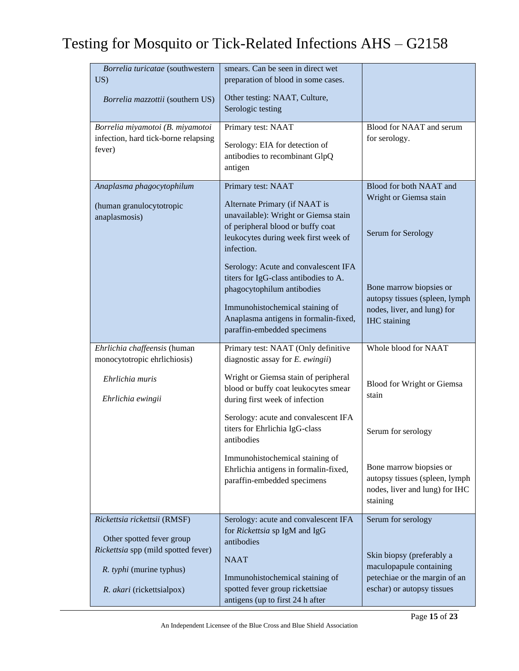| Borrelia turicatae (southwestern<br>US)<br>Borrelia mazzottii (southern US)                                                                               | smears. Can be seen in direct wet<br>preparation of blood in some cases.<br>Other testing: NAAT, Culture,<br>Serologic testing                                                                                         |                                                                                                                                           |
|-----------------------------------------------------------------------------------------------------------------------------------------------------------|------------------------------------------------------------------------------------------------------------------------------------------------------------------------------------------------------------------------|-------------------------------------------------------------------------------------------------------------------------------------------|
| Borrelia miyamotoi (B. miyamotoi<br>infection, hard tick-borne relapsing<br>fever)                                                                        | Primary test: NAAT<br>Serology: EIA for detection of<br>antibodies to recombinant GlpQ<br>antigen                                                                                                                      | Blood for NAAT and serum<br>for serology.                                                                                                 |
| Anaplasma phagocytophilum<br>(human granulocytotropic<br>anaplasmosis)                                                                                    | Primary test: NAAT<br>Alternate Primary (if NAAT is<br>unavailable): Wright or Giemsa stain<br>of peripheral blood or buffy coat<br>leukocytes during week first week of<br>infection.                                 | Blood for both NAAT and<br>Wright or Giemsa stain<br>Serum for Serology                                                                   |
|                                                                                                                                                           | Serology: Acute and convalescent IFA<br>titers for IgG-class antibodies to A.<br>phagocytophilum antibodies<br>Immunohistochemical staining of<br>Anaplasma antigens in formalin-fixed,<br>paraffin-embedded specimens | Bone marrow biopsies or<br>autopsy tissues (spleen, lymph<br>nodes, liver, and lung) for<br><b>IHC</b> staining                           |
| Ehrlichia chaffeensis (human<br>monocytotropic ehrlichiosis)                                                                                              | Primary test: NAAT (Only definitive<br>diagnostic assay for $E$ . ewingii)                                                                                                                                             | Whole blood for NAAT                                                                                                                      |
| Ehrlichia muris<br>Ehrlichia ewingii                                                                                                                      | Wright or Giemsa stain of peripheral<br>blood or buffy coat leukocytes smear<br>during first week of infection                                                                                                         | Blood for Wright or Giemsa<br>stain                                                                                                       |
|                                                                                                                                                           | Serology: acute and convalescent IFA<br>titers for Ehrlichia IgG-class<br>antibodies                                                                                                                                   | Serum for serology                                                                                                                        |
|                                                                                                                                                           | Immunohistochemical staining of<br>Ehrlichia antigens in formalin-fixed,<br>paraffin-embedded specimens                                                                                                                | Bone marrow biopsies or<br>autopsy tissues (spleen, lymph<br>nodes, liver and lung) for IHC<br>staining                                   |
| Rickettsia rickettsii (RMSF)<br>Other spotted fever group<br>Rickettsia spp (mild spotted fever)<br>R. typhi (murine typhus)<br>R. akari (rickettsialpox) | Serology: acute and convalescent IFA<br>for Rickettsia sp IgM and IgG<br>antibodies<br><b>NAAT</b><br>Immunohistochemical staining of<br>spotted fever group rickettsiae<br>antigens (up to first 24 h after           | Serum for serology<br>Skin biopsy (preferably a<br>maculopapule containing<br>petechiae or the margin of an<br>eschar) or autopsy tissues |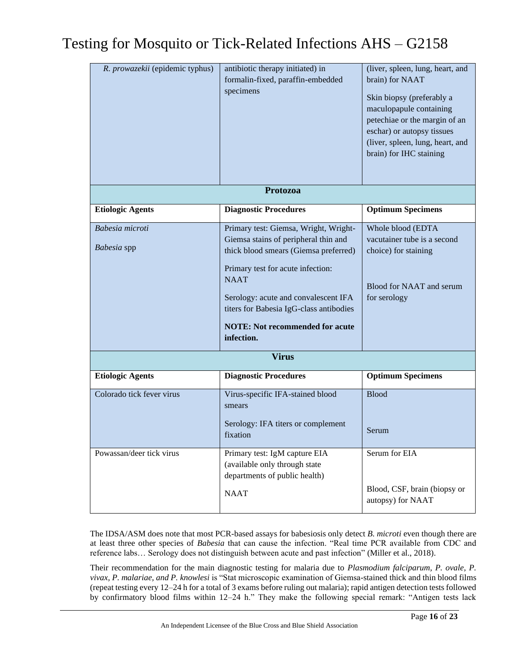| R. prowazekii (epidemic typhus) | antibiotic therapy initiated) in<br>formalin-fixed, paraffin-embedded<br>specimens<br>Protozoa                                                                                                                                                                                                                                        | (liver, spleen, lung, heart, and<br>brain) for NAAT<br>Skin biopsy (preferably a<br>maculopapule containing<br>petechiae or the margin of an<br>eschar) or autopsy tissues<br>(liver, spleen, lung, heart, and<br>brain) for IHC staining |
|---------------------------------|---------------------------------------------------------------------------------------------------------------------------------------------------------------------------------------------------------------------------------------------------------------------------------------------------------------------------------------|-------------------------------------------------------------------------------------------------------------------------------------------------------------------------------------------------------------------------------------------|
|                                 |                                                                                                                                                                                                                                                                                                                                       |                                                                                                                                                                                                                                           |
| <b>Etiologic Agents</b>         | <b>Diagnostic Procedures</b>                                                                                                                                                                                                                                                                                                          | <b>Optimum Specimens</b>                                                                                                                                                                                                                  |
| Babesia microti<br>Babesia spp  | Primary test: Giemsa, Wright, Wright-<br>Giemsa stains of peripheral thin and<br>thick blood smears (Giemsa preferred)<br>Primary test for acute infection:<br><b>NAAT</b><br>Serology: acute and convalescent IFA<br>titers for Babesia IgG-class antibodies<br><b>NOTE:</b> Not recommended for acute<br>infection.<br><b>Virus</b> | Whole blood (EDTA<br>vacutainer tube is a second<br>choice) for staining<br>Blood for NAAT and serum<br>for serology                                                                                                                      |
| <b>Etiologic Agents</b>         | <b>Diagnostic Procedures</b>                                                                                                                                                                                                                                                                                                          | <b>Optimum Specimens</b>                                                                                                                                                                                                                  |
| Colorado tick fever virus       | Virus-specific IFA-stained blood<br>smears<br>Serology: IFA titers or complement<br>fixation                                                                                                                                                                                                                                          | <b>Blood</b><br>Serum                                                                                                                                                                                                                     |
| Powassan/deer tick virus        | Primary test: IgM capture EIA<br>(available only through state<br>departments of public health)<br><b>NAAT</b>                                                                                                                                                                                                                        | Serum for EIA<br>Blood, CSF, brain (biopsy or<br>autopsy) for NAAT                                                                                                                                                                        |

The IDSA/ASM does note that most PCR-based assays for babesiosis only detect *B. microti* even though there are at least three other species of *Babesia* that can cause the infection. "Real time PCR available from CDC and reference labs… Serology does not distinguish between acute and past infection" (Miller et al., 2018).

Their recommendation for the main diagnostic testing for malaria due to *Plasmodium falciparum, P. ovale, P. vivax, P. malariae, and P. knowlesi* is "Stat microscopic examination of Giemsa-stained thick and thin blood films (repeat testing every 12–24 h for a total of 3 exams before ruling out malaria); rapid antigen detection tests followed by confirmatory blood films within 12–24 h." They make the following special remark: "Antigen tests lack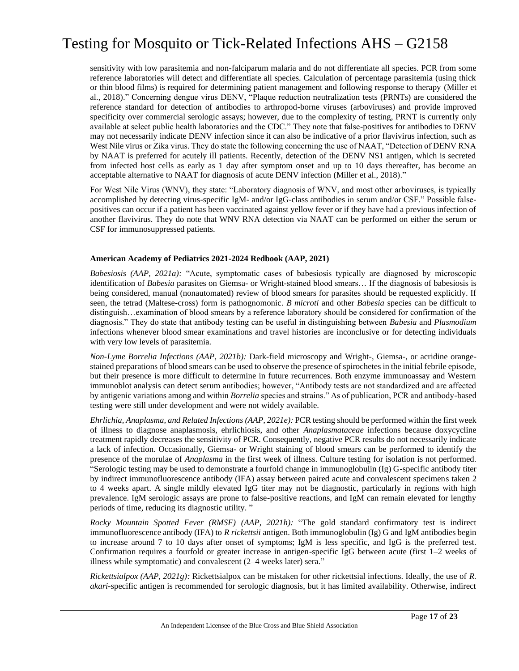sensitivity with low parasitemia and non-falciparum malaria and do not differentiate all species. PCR from some reference laboratories will detect and differentiate all species. Calculation of percentage parasitemia (using thick or thin blood films) is required for determining patient management and following response to therapy (Miller et al., 2018)." Concerning dengue virus DENV, "Plaque reduction neutralization tests (PRNTs) are considered the reference standard for detection of antibodies to arthropod-borne viruses (arboviruses) and provide improved specificity over commercial serologic assays; however, due to the complexity of testing, PRNT is currently only available at select public health laboratories and the CDC." They note that false-positives for antibodies to DENV may not necessarily indicate DENV infection since it can also be indicative of a prior flavivirus infection, such as West Nile virus or Zika virus. They do state the following concerning the use of NAAT, "Detection of DENV RNA by NAAT is preferred for acutely ill patients. Recently, detection of the DENV NS1 antigen, which is secreted from infected host cells as early as 1 day after symptom onset and up to 10 days thereafter, has become an acceptable alternative to NAAT for diagnosis of acute DENV infection (Miller et al., 2018)."

For West Nile Virus (WNV), they state: "Laboratory diagnosis of WNV, and most other arboviruses, is typically accomplished by detecting virus-specific IgM- and/or IgG-class antibodies in serum and/or CSF." Possible falsepositives can occur if a patient has been vaccinated against yellow fever or if they have had a previous infection of another flavivirus. They do note that WNV RNA detection via NAAT can be performed on either the serum or CSF for immunosuppressed patients.

#### **American Academy of Pediatrics 2021-2024 Redbook (AAP, 2021)**

*Babesiosis (AAP, 2021a):* "Acute, symptomatic cases of babesiosis typically are diagnosed by microscopic identification of *Babesia* parasites on Giemsa- or Wright-stained blood smears… If the diagnosis of babesiosis is being considered, manual (nonautomated) review of blood smears for parasites should be requested explicitly. If seen, the tetrad (Maltese-cross) form is pathognomonic. *B microti* and other *Babesia* species can be difficult to distinguish…examination of blood smears by a reference laboratory should be considered for confirmation of the diagnosis." They do state that antibody testing can be useful in distinguishing between *Babesia* and *Plasmodium* infections whenever blood smear examinations and travel histories are inconclusive or for detecting individuals with very low levels of parasitemia.

*Non-Lyme Borrelia Infections (AAP, 2021b):* Dark-field microscopy and Wright-, Giemsa-, or acridine orangestained preparations of blood smears can be used to observe the presence of spirochetes in the initial febrile episode, but their presence is more difficult to determine in future recurrences. Both enzyme immunoassay and Western immunoblot analysis can detect serum antibodies; however, "Antibody tests are not standardized and are affected by antigenic variations among and within *Borrelia* species and strains." As of publication, PCR and antibody-based testing were still under development and were not widely available.

*Ehrlichia, Anaplasma, and Related Infections (AAP, 2021e):* PCR testing should be performed within the first week of illness to diagnose anaplasmosis, ehrlichiosis, and other *Anaplasmataceae* infections because doxycycline treatment rapidly decreases the sensitivity of PCR. Consequently, negative PCR results do not necessarily indicate a lack of infection. Occasionally, Giemsa- or Wright staining of blood smears can be performed to identify the presence of the morulae of *Anaplasma* in the first week of illness. Culture testing for isolation is not performed. "Serologic testing may be used to demonstrate a fourfold change in immunoglobulin (Ig) G-specific antibody titer by indirect immunofluorescence antibody (IFA) assay between paired acute and convalescent specimens taken 2 to 4 weeks apart. A single mildly elevated IgG titer may not be diagnostic, particularly in regions with high prevalence. IgM serologic assays are prone to false-positive reactions, and IgM can remain elevated for lengthy periods of time, reducing its diagnostic utility. "

*Rocky Mountain Spotted Fever (RMSF) (AAP, 2021h):* "The gold standard confirmatory test is indirect immunofluorescence antibody (IFA) to *R rickettsii* antigen. Both immunoglobulin (Ig) G and IgM antibodies begin to increase around 7 to 10 days after onset of symptoms; IgM is less specific, and IgG is the preferred test. Confirmation requires a fourfold or greater increase in antigen-specific IgG between acute (first 1–2 weeks of illness while symptomatic) and convalescent (2–4 weeks later) sera."

*Rickettsialpox (AAP, 2021g):* Rickettsialpox can be mistaken for other rickettsial infections. Ideally, the use of *R. akari*-specific antigen is recommended for serologic diagnosis, but it has limited availability. Otherwise, indirect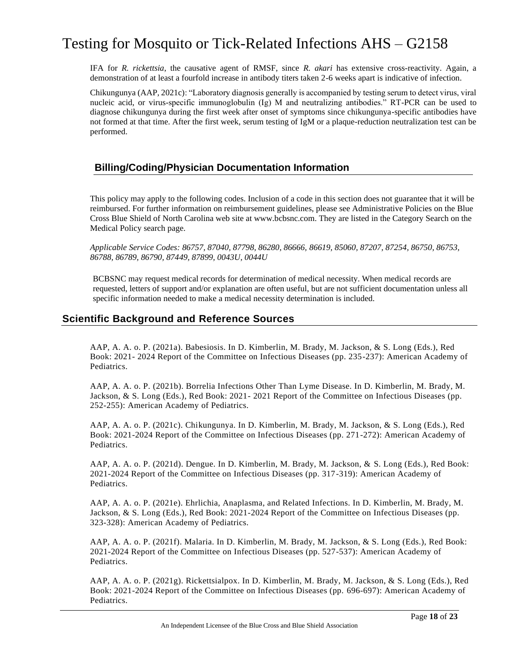IFA for *R. rickettsia*, the causative agent of RMSF, since *R. akari* has extensive cross-reactivity. Again, a demonstration of at least a fourfold increase in antibody titers taken 2-6 weeks apart is indicative of infection.

Chikungunya (AAP, 2021c): "Laboratory diagnosis generally is accompanied by testing serum to detect virus, viral nucleic acid, or virus-specific immunoglobulin (Ig) M and neutralizing antibodies." RT-PCR can be used to diagnose chikungunya during the first week after onset of symptoms since chikungunya-specific antibodies have not formed at that time. After the first week, serum testing of IgM or a plaque-reduction neutralization test can be performed.

### **Billing/Coding/Physician Documentation Information**

This policy may apply to the following codes. Inclusion of a code in this section does not guarantee that it will be reimbursed. For further information on reimbursement guidelines, please see Administrative Policies on the Blue Cross Blue Shield of North Carolina web site at www.bcbsnc.com. They are listed in the Category Search on the Medical Policy search page.

*Applicable Service Codes: 86757, 87040, 87798, 86280, 86666, 86619, 85060, 87207, 87254, 86750, 86753, 86788, 86789, 86790, 87449, 87899, 0043U, 0044U*

BCBSNC may request medical records for determination of medical necessity. When medical records are requested, letters of support and/or explanation are often useful, but are not sufficient documentation unless all specific information needed to make a medical necessity determination is included.

### **Scientific Background and Reference Sources**

AAP, A. A. o. P. (2021a). Babesiosis. In D. Kimberlin, M. Brady, M. Jackson, & S. Long (Eds.), Red Book: 2021- 2024 Report of the Committee on Infectious Diseases (pp. 235-237): American Academy of Pediatrics.

AAP, A. A. o. P. (2021b). Borrelia Infections Other Than Lyme Disease. In D. Kimberlin, M. Brady, M. Jackson, & S. Long (Eds.), Red Book: 2021- 2021 Report of the Committee on Infectious Diseases (pp. 252-255): American Academy of Pediatrics.

AAP, A. A. o. P. (2021c). Chikungunya. In D. Kimberlin, M. Brady, M. Jackson, & S. Long (Eds.), Red Book: 2021-2024 Report of the Committee on Infectious Diseases (pp. 271-272): American Academy of Pediatrics.

AAP, A. A. o. P. (2021d). Dengue. In D. Kimberlin, M. Brady, M. Jackson, & S. Long (Eds.), Red Book: 2021-2024 Report of the Committee on Infectious Diseases (pp. 317-319): American Academy of Pediatrics.

AAP, A. A. o. P. (2021e). Ehrlichia, Anaplasma, and Related Infections. In D. Kimberlin, M. Brady, M. Jackson, & S. Long (Eds.), Red Book: 2021-2024 Report of the Committee on Infectious Diseases (pp. 323-328): American Academy of Pediatrics.

AAP, A. A. o. P. (2021f). Malaria. In D. Kimberlin, M. Brady, M. Jackson, & S. Long (Eds.), Red Book: 2021-2024 Report of the Committee on Infectious Diseases (pp. 527-537): American Academy of Pediatrics.

AAP, A. A. o. P. (2021g). Rickettsialpox. In D. Kimberlin, M. Brady, M. Jackson, & S. Long (Eds.), Red Book: 2021-2024 Report of the Committee on Infectious Diseases (pp. 696-697): American Academy of Pediatrics.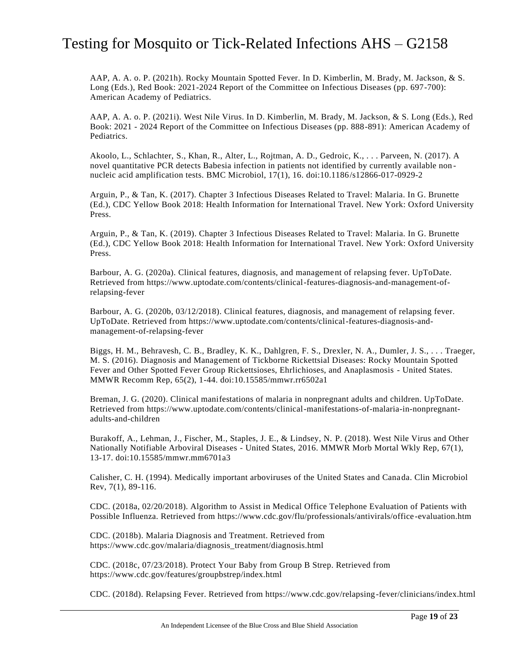AAP, A. A. o. P. (2021h). Rocky Mountain Spotted Fever. In D. Kimberlin, M. Brady, M. Jackson, & S. Long (Eds.), Red Book: 2021-2024 Report of the Committee on Infectious Diseases (pp. 697-700): American Academy of Pediatrics.

AAP, A. A. o. P. (2021i). West Nile Virus. In D. Kimberlin, M. Brady, M. Jackson, & S. Long (Eds.), Red Book: 2021 - 2024 Report of the Committee on Infectious Diseases (pp. 888-891): American Academy of Pediatrics.

Akoolo, L., Schlachter, S., Khan, R., Alter, L., Rojtman, A. D., Gedroic, K., . . . Parveen, N. (2017). A novel quantitative PCR detects Babesia infection in patients not identified by currently available non nucleic acid amplification tests. BMC Microbiol, 17(1), 16. doi:10.1186/s12866-017-0929-2

Arguin, P., & Tan, K. (2017). Chapter 3 Infectious Diseases Related to Travel: Malaria. In G. Brunette (Ed.), CDC Yellow Book 2018: Health Information for International Travel. New York: Oxford University Press.

Arguin, P., & Tan, K. (2019). Chapter 3 Infectious Diseases Related to Travel: Malaria. In G. Brunette (Ed.), CDC Yellow Book 2018: Health Information for International Travel. New York: Oxford University Press.

Barbour, A. G. (2020a). Clinical features, diagnosis, and management of relapsing fever. UpToDate. Retrieved from https://www.uptodate.com/contents/clinical-features-diagnosis-and-management-ofrelapsing-fever

Barbour, A. G. (2020b, 03/12/2018). Clinical features, diagnosis, and management of relapsing fever. UpToDate. Retrieved from https://www.uptodate.com/contents/clinical-features-diagnosis-andmanagement-of-relapsing-fever

Biggs, H. M., Behravesh, C. B., Bradley, K. K., Dahlgren, F. S., Drexler, N. A., Dumler, J. S., . . . Traeger, M. S. (2016). Diagnosis and Management of Tickborne Rickettsial Diseases: Rocky Mountain Spotted Fever and Other Spotted Fever Group Rickettsioses, Ehrlichioses, and Anaplasmosis - United States. MMWR Recomm Rep, 65(2), 1-44. doi:10.15585/mmwr.rr6502a1

Breman, J. G. (2020). Clinical manifestations of malaria in nonpregnant adults and children. UpToDate. Retrieved from https://www.uptodate.com/contents/clinical-manifestations-of-malaria-in-nonpregnantadults-and-children

Burakoff, A., Lehman, J., Fischer, M., Staples, J. E., & Lindsey, N. P. (2018). West Nile Virus and Other Nationally Notifiable Arboviral Diseases - United States, 2016. MMWR Morb Mortal Wkly Rep, 67(1), 13-17. doi:10.15585/mmwr.mm6701a3

Calisher, C. H. (1994). Medically important arboviruses of the United States and Canada. Clin Microbiol Rev, 7(1), 89-116.

CDC. (2018a, 02/20/2018). Algorithm to Assist in Medical Office Telephone Evaluation of Patients with Possible Influenza. Retrieved from https://www.cdc.gov/flu/professionals/antivirals/office -evaluation.htm

CDC. (2018b). Malaria Diagnosis and Treatment. Retrieved from https://www.cdc.gov/malaria/diagnosis\_treatment/diagnosis.html

CDC. (2018c, 07/23/2018). Protect Your Baby from Group B Strep. Retrieved from https://www.cdc.gov/features/groupbstrep/index.html

CDC. (2018d). Relapsing Fever. Retrieved from https://www.cdc.gov/relapsing-fever/clinicians/index.html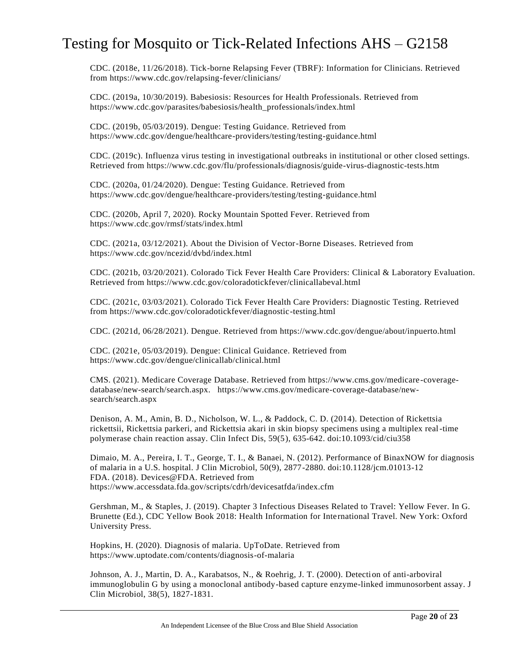CDC. (2018e, 11/26/2018). Tick-borne Relapsing Fever (TBRF): Information for Clinicians. Retrieved from https://www.cdc.gov/relapsing-fever/clinicians/

CDC. (2019a, 10/30/2019). Babesiosis: Resources for Health Professionals. Retrieved from https://www.cdc.gov/parasites/babesiosis/health\_professionals/index.html

CDC. (2019b, 05/03/2019). Dengue: Testing Guidance. Retrieved from https://www.cdc.gov/dengue/healthcare-providers/testing/testing-guidance.html

CDC. (2019c). Influenza virus testing in investigational outbreaks in institutional or other closed settings. Retrieved from https://www.cdc.gov/flu/professionals/diagnosis/guide-virus-diagnostic-tests.htm

CDC. (2020a, 01/24/2020). Dengue: Testing Guidance. Retrieved from https://www.cdc.gov/dengue/healthcare-providers/testing/testing-guidance.html

CDC. (2020b, April 7, 2020). Rocky Mountain Spotted Fever. Retrieved from https://www.cdc.gov/rmsf/stats/index.html

CDC. (2021a, 03/12/2021). About the Division of Vector-Borne Diseases. Retrieved from https://www.cdc.gov/ncezid/dvbd/index.html

CDC. (2021b, 03/20/2021). Colorado Tick Fever Health Care Providers: Clinical & Laboratory Evaluation. Retrieved from https://www.cdc.gov/coloradotickfever/clinicallabeval.html

CDC. (2021c, 03/03/2021). Colorado Tick Fever Health Care Providers: Diagnostic Testing. Retrieved from https://www.cdc.gov/coloradotickfever/diagnostic-testing.html

CDC. (2021d, 06/28/2021). Dengue. Retrieved from https://www.cdc.gov/dengue/about/inpuerto.html

CDC. (2021e, 05/03/2019). Dengue: Clinical Guidance. Retrieved from https://www.cdc.gov/dengue/clinicallab/clinical.html

CMS. (2021). Medicare Coverage Database. Retrieved from https://www.cms.gov/medicare -coveragedatabase/new-search/search.aspx. https://www.cms.gov/medicare-coverage-database/newsearch/search.aspx

Denison, A. M., Amin, B. D., Nicholson, W. L., & Paddock, C. D. (2014). Detection of Rickettsia rickettsii, Rickettsia parkeri, and Rickettsia akari in skin biopsy specimens using a multiplex real-time polymerase chain reaction assay. Clin Infect Dis, 59(5), 635-642. doi:10.1093/cid/ciu358

Dimaio, M. A., Pereira, I. T., George, T. I., & Banaei, N. (2012). Performance of BinaxNOW for diagnosis of malaria in a U.S. hospital. J Clin Microbiol, 50(9), 2877-2880. doi:10.1128/jcm.01013-12 FDA. (2018). Devices@FDA. Retrieved from https://www.accessdata.fda.gov/scripts/cdrh/devicesatfda/index.cfm

Gershman, M., & Staples, J. (2019). Chapter 3 Infectious Diseases Related to Travel: Yellow Fever. In G. Brunette (Ed.), CDC Yellow Book 2018: Health Information for International Travel. New York: Oxford University Press.

Hopkins, H. (2020). Diagnosis of malaria. UpToDate. Retrieved from https://www.uptodate.com/contents/diagnosis-of-malaria

Johnson, A. J., Martin, D. A., Karabatsos, N., & Roehrig, J. T. (2000). Detection of anti-arboviral immunoglobulin G by using a monoclonal antibody-based capture enzyme-linked immunosorbent assay. J Clin Microbiol, 38(5), 1827-1831.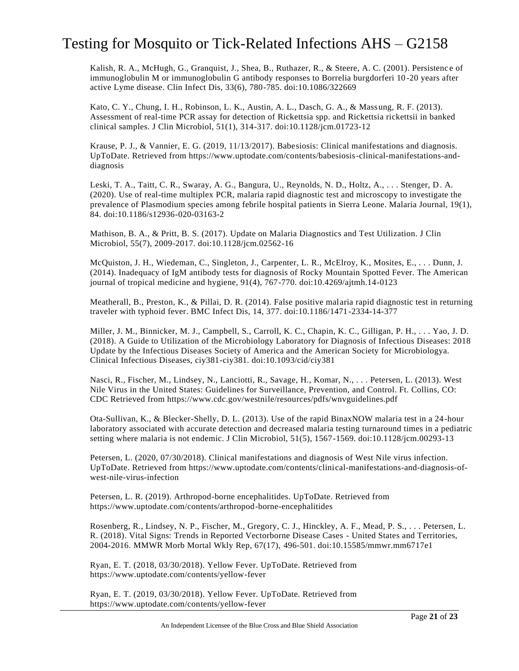Kalish, R. A., McHugh, G., Granquist, J., Shea, B., Ruthazer, R., & Steere, A. C. (2001). Persistence of immunoglobulin M or immunoglobulin G antibody responses to Borrelia burgdorferi 10 -20 years after active Lyme disease. Clin Infect Dis, 33(6), 780-785. doi:10.1086/322669

Kato, C. Y., Chung, I. H., Robinson, L. K., Austin, A. L., Dasch, G. A., & Massung, R. F. (2013). Assessment of real-time PCR assay for detection of Rickettsia spp. and Rickettsia rickettsii in banked clinical samples. J Clin Microbiol, 51(1), 314-317. doi:10.1128/jcm.01723-12

Krause, P. J., & Vannier, E. G. (2019, 11/13/2017). Babesiosis: Clinical manifestations and diagnosis. UpToDate. Retrieved from https://www.uptodate.com/contents/babesiosis-clinical-manifestations-anddiagnosis

Leski, T. A., Taitt, C. R., Swaray, A. G., Bangura, U., Reynolds, N. D., Holtz, A., . . . Stenger, D. A. (2020). Use of real-time multiplex PCR, malaria rapid diagnostic test and microscopy to investigate the prevalence of Plasmodium species among febrile hospital patients in Sierra Leone. Malaria Journal, 19(1), 84. doi:10.1186/s12936-020-03163-2

Mathison, B. A., & Pritt, B. S. (2017). Update on Malaria Diagnostics and Test Utilization. J Clin Microbiol, 55(7), 2009-2017. doi:10.1128/jcm.02562-16

McQuiston, J. H., Wiedeman, C., Singleton, J., Carpenter, L. R., McElroy, K., Mosites, E., . . . Dunn, J. (2014). Inadequacy of IgM antibody tests for diagnosis of Rocky Mountain Spotted Fever. The American journal of tropical medicine and hygiene, 91(4), 767-770. doi:10.4269/ajtmh.14-0123

Meatherall, B., Preston, K., & Pillai, D. R. (2014). False positive malaria rapid diagnostic test in returning traveler with typhoid fever. BMC Infect Dis, 14, 377. doi:10.1186/1471-2334-14-377

Miller, J. M., Binnicker, M. J., Campbell, S., Carroll, K. C., Chapin, K. C., Gilligan, P. H., . . . Yao, J. D. (2018). A Guide to Utilization of the Microbiology Laboratory for Diagnosis of Infectious Diseases: 2018 Update by the Infectious Diseases Society of America and the American Society for Microbiologya. Clinical Infectious Diseases, ciy381-ciy381. doi:10.1093/cid/ciy381

Nasci, R., Fischer, M., Lindsey, N., Lanciotti, R., Savage, H., Komar, N., . . . Petersen, L. (2013). West Nile Virus in the United States: Guidelines for Surveillance, Prevention, and Control. Ft. Collins, CO: CDC Retrieved from https://www.cdc.gov/westnile/resources/pdfs/wnvguidelines.pdf

Ota-Sullivan, K., & Blecker-Shelly, D. L. (2013). Use of the rapid BinaxNOW malaria test in a 24-hour laboratory associated with accurate detection and decreased malaria testing turnaround times in a pediatric setting where malaria is not endemic. J Clin Microbiol, 51(5), 1567-1569. doi:10.1128/jcm.00293-13

Petersen, L. (2020, 07/30/2018). Clinical manifestations and diagnosis of West Nile virus infection. UpToDate. Retrieved from https://www.uptodate.com/contents/clinical-manifestations-and-diagnosis-ofwest-nile-virus-infection

Petersen, L. R. (2019). Arthropod-borne encephalitides. UpToDate. Retrieved from https://www.uptodate.com/contents/arthropod-borne-encephalitides

Rosenberg, R., Lindsey, N. P., Fischer, M., Gregory, C. J., Hinckley, A. F., Mead, P. S., . . . Petersen, L. R. (2018). Vital Signs: Trends in Reported Vectorborne Disease Cases - United States and Territories, 2004-2016. MMWR Morb Mortal Wkly Rep, 67(17), 496-501. doi:10.15585/mmwr.mm6717e1

Ryan, E. T. (2018, 03/30/2018). Yellow Fever. UpToDate. Retrieved from https://www.uptodate.com/contents/yellow-fever

Ryan, E. T. (2019, 03/30/2018). Yellow Fever. UpToDate. Retrieved from https://www.uptodate.com/contents/yellow-fever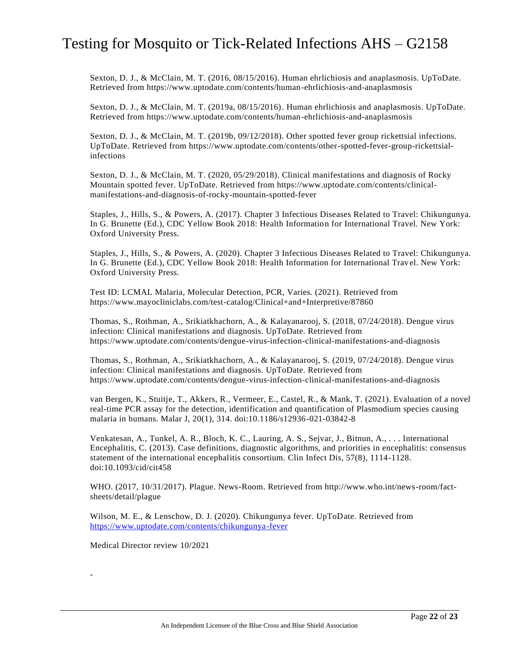Sexton, D. J., & McClain, M. T. (2016, 08/15/2016). Human ehrlichiosis and anaplasmosis. UpToDate. Retrieved from https://www.uptodate.com/contents/human-ehrlichiosis-and-anaplasmosis

Sexton, D. J., & McClain, M. T. (2019a, 08/15/2016). Human ehrlichiosis and anaplasmosis. UpToDate. Retrieved from https://www.uptodate.com/contents/human-ehrlichiosis-and-anaplasmosis

Sexton, D. J., & McClain, M. T. (2019b, 09/12/2018). Other spotted fever group rickettsial infections. UpToDate. Retrieved from https://www.uptodate.com/contents/other-spotted-fever-group-rickettsialinfections

Sexton, D. J., & McClain, M. T. (2020, 05/29/2018). Clinical manifestations and diagnosis of Rocky Mountain spotted fever. UpToDate. Retrieved from https://www.uptodate.com/contents/clinicalmanifestations-and-diagnosis-of-rocky-mountain-spotted-fever

Staples, J., Hills, S., & Powers, A. (2017). Chapter 3 Infectious Diseases Related to Travel: Chikungunya. In G. Brunette (Ed.), CDC Yellow Book 2018: Health Information for International Travel. New York: Oxford University Press.

Staples, J., Hills, S., & Powers, A. (2020). Chapter 3 Infectious Diseases Related to Travel: Chikungunya. In G. Brunette (Ed.), CDC Yellow Book 2018: Health Information for International Travel. New York: Oxford University Press.

Test ID: LCMAL Malaria, Molecular Detection, PCR, Varies. (2021). Retrieved from https://www.mayocliniclabs.com/test-catalog/Clinical+and+Interpretive/87860

Thomas, S., Rothman, A., Srikiatkhachorn, A., & Kalayanarooj, S. (2018, 07/24/2018). Dengue virus infection: Clinical manifestations and diagnosis. UpToDate. Retrieved from https://www.uptodate.com/contents/dengue-virus-infection-clinical-manifestations-and-diagnosis

Thomas, S., Rothman, A., Srikiatkhachorn, A., & Kalayanarooj, S. (2019, 07/24/2018). Dengue virus infection: Clinical manifestations and diagnosis. UpToDate. Retrieved from https://www.uptodate.com/contents/dengue-virus-infection-clinical-manifestations-and-diagnosis

van Bergen, K., Stuitje, T., Akkers, R., Vermeer, E., Castel, R., & Mank, T. (2021). Evaluation of a novel real-time PCR assay for the detection, identification and quantification of Plasmodium species causing malaria in humans. Malar J, 20(1), 314. doi:10.1186/s12936-021-03842-8

Venkatesan, A., Tunkel, A. R., Bloch, K. C., Lauring, A. S., Sejvar, J., Bitnun, A., . . . International Encephalitis, C. (2013). Case definitions, diagnostic algorithms, and priorities in encephalitis: consensus statement of the international encephalitis consortium. Clin Infect Dis, 57(8), 1114-1128. doi:10.1093/cid/cit458

WHO. (2017, 10/31/2017). Plague. News-Room. Retrieved from http://www.who.int/news-room/factsheets/detail/plague

Wilson, M. E., & Lenschow, D. J. (2020). Chikungunya fever. UpToDate. Retrieved from <https://www.uptodate.com/contents/chikungunya-fever>

Medical Director review 10/2021

-